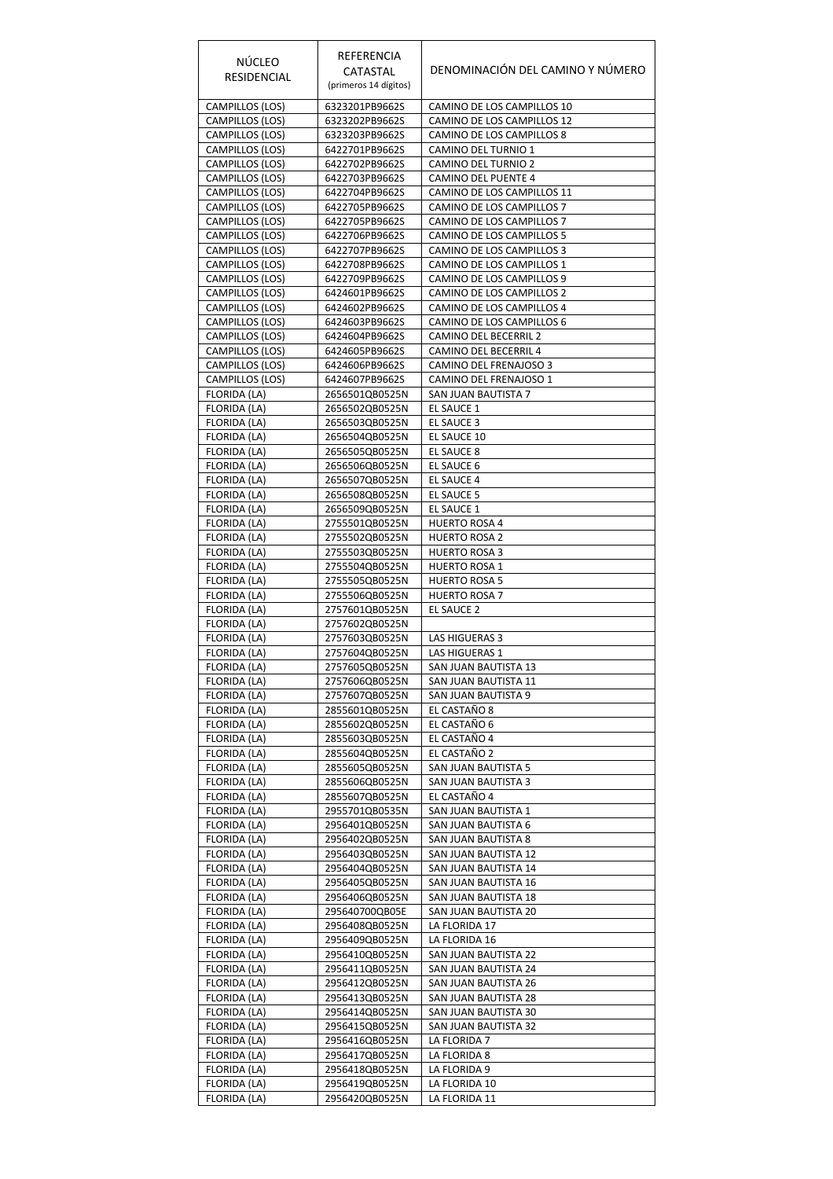| NÚCLEO                                    | REFERENCIA                       |                                                          |
|-------------------------------------------|----------------------------------|----------------------------------------------------------|
| RESIDENCIAL                               | CATASTAL                         | DENOMINACIÓN DEL CAMINO Y NÚMERO                         |
|                                           | (primeros 14 dígitos)            |                                                          |
| CAMPILLOS (LOS)<br>CAMPILLOS (LOS)        | 6323201PB9662S<br>6323202PB9662S | CAMINO DE LOS CAMPILLOS 10<br>CAMINO DE LOS CAMPILLOS 12 |
| <b>CAMPILLOS (LOS)</b>                    | 6323203PB9662S                   | CAMINO DE LOS CAMPILLOS 8                                |
| CAMPILLOS (LOS)                           | 6422701PB9662S                   | CAMINO DEL TURNIO 1                                      |
| CAMPILLOS (LOS)<br>CAMPILLOS (LOS)        | 6422702PB9662S<br>6422703PB9662S | CAMINO DEL TURNIO 2<br>CAMINO DEL PUENTE 4               |
| CAMPILLOS (LOS)                           | 6422704PB9662S                   | CAMINO DE LOS CAMPILLOS 11                               |
| CAMPILLOS (LOS)                           | 6422705PB9662S                   | CAMINO DE LOS CAMPILLOS 7                                |
| CAMPILLOS (LOS)<br>CAMPILLOS (LOS)        | 6422705PB9662S<br>6422706PB9662S | CAMINO DE LOS CAMPILLOS 7<br>CAMINO DE LOS CAMPILLOS 5   |
| CAMPILLOS (LOS)                           | 6422707PB9662S                   | CAMINO DE LOS CAMPILLOS 3                                |
| CAMPILLOS (LOS)                           | 6422708PB9662S                   | CAMINO DE LOS CAMPILLOS 1                                |
| CAMPILLOS (LOS)                           | 6422709PB9662S<br>6424601PB9662S | CAMINO DE LOS CAMPILLOS 9<br>CAMINO DE LOS CAMPILLOS 2   |
| CAMPILLOS (LOS)<br>CAMPILLOS (LOS)        | 6424602PB9662S                   | CAMINO DE LOS CAMPILLOS 4                                |
| CAMPILLOS (LOS)                           | 6424603PB9662S                   | CAMINO DE LOS CAMPILLOS 6                                |
| <b>CAMPILLOS (LOS)</b>                    | 6424604PB9662S                   | CAMINO DEL BECERRIL 2                                    |
| <b>CAMPILLOS (LOS)</b><br>CAMPILLOS (LOS) | 6424605PB9662S<br>6424606PB9662S | CAMINO DEL BECERRIL 4                                    |
| CAMPILLOS (LOS)                           | 6424607PB9662S                   | CAMINO DEL FRENAJOSO 3<br>CAMINO DEL FRENAJOSO 1         |
| FLORIDA (LA)                              | 2656501QB0525N                   | SAN JUAN BAUTISTA 7                                      |
| FLORIDA (LA)                              | 2656502QB0525N                   | EL SAUCE 1                                               |
| FLORIDA (LA)                              | 2656503QB0525N<br>2656504QB0525N | <b>EL SAUCE 3</b><br>EL SAUCE 10                         |
| FLORIDA (LA)<br>FLORIDA (LA)              | 2656505QB0525N                   | EL SAUCE 8                                               |
| FLORIDA (LA)                              | 2656506QB0525N                   | EL SAUCE 6                                               |
| FLORIDA (LA)                              | 2656507QB0525N                   | EL SAUCE 4                                               |
| FLORIDA (LA)                              | 2656508QB0525N                   | EL SAUCE 5                                               |
| FLORIDA (LA)<br>FLORIDA (LA)              | 2656509QB0525N<br>2755501QB0525N | EL SAUCE 1<br><b>HUERTO ROSA 4</b>                       |
| FLORIDA (LA)                              | 2755502QB0525N                   | <b>HUERTO ROSA 2</b>                                     |
| FLORIDA (LA)                              | 2755503QB0525N                   | <b>HUERTO ROSA 3</b>                                     |
| FLORIDA (LA)                              | 2755504QB0525N                   | <b>HUERTO ROSA 1</b>                                     |
| FLORIDA (LA)<br>FLORIDA (LA)              | 2755505QB0525N<br>2755506QB0525N | <b>HUERTO ROSA 5</b><br><b>HUERTO ROSA 7</b>             |
| FLORIDA (LA)                              | 2757601QB0525N                   | EL SAUCE 2                                               |
| FLORIDA (LA)                              | 2757602QB0525N                   |                                                          |
| FLORIDA (LA)                              | 2757603QB0525N                   | LAS HIGUERAS 3                                           |
| FLORIDA (LA)<br>FLORIDA (LA)              | 2757604QB0525N<br>2757605QB0525N | LAS HIGUERAS 1<br>SAN JUAN BAUTISTA 13                   |
| FLORIDA (LA)                              | 2757606QB0525N                   | SAN JUAN BAUTISTA 11                                     |
| FLORIDA (LA)                              | 2757607QB0525N                   | SAN JUAN BAUTISTA 9                                      |
| FLORIDA (LA)                              | 2855601QB0525N                   | EL CASTAÑO 8                                             |
| FLORIDA (LA)<br>FLORIDA (LA)              | 2855602QB0525N<br>2855603QB0525N | EL CASTAÑO 6<br>EL CASTAÑO 4                             |
| FLORIDA (LA)                              | 2855604QB0525N                   | EL CASTAÑO 2                                             |
| FLORIDA (LA)                              | 2855605QB0525N                   | SAN JUAN BAUTISTA 5                                      |
| FLORIDA (LA)                              | 2855606QB0525N                   | SAN JUAN BAUTISTA 3                                      |
| FLORIDA (LA)<br>FLORIDA (LA)              | 2855607QB0525N<br>2955701QB0535N | EL CASTAÑO 4<br>SAN JUAN BAUTISTA 1                      |
| FLORIDA (LA)                              | 2956401QB0525N                   | SAN JUAN BAUTISTA 6                                      |
| FLORIDA (LA)                              | 2956402QB0525N                   | SAN JUAN BAUTISTA 8                                      |
| FLORIDA (LA)                              | 2956403QB0525N                   | SAN JUAN BAUTISTA 12                                     |
| FLORIDA (LA)<br>FLORIDA (LA)              | 2956404QB0525N<br>2956405QB0525N | SAN JUAN BAUTISTA 14<br>SAN JUAN BAUTISTA 16             |
| FLORIDA (LA)                              | 2956406QB0525N                   | SAN JUAN BAUTISTA 18                                     |
| FLORIDA (LA)                              | 295640700QB05E                   | SAN JUAN BAUTISTA 20                                     |
| FLORIDA (LA)                              | 2956408QB0525N                   | LA FLORIDA 17                                            |
| FLORIDA (LA)<br>FLORIDA (LA)              | 2956409QB0525N<br>2956410QB0525N | LA FLORIDA 16<br>SAN JUAN BAUTISTA 22                    |
| FLORIDA (LA)                              | 2956411QB0525N                   | SAN JUAN BAUTISTA 24                                     |
| FLORIDA (LA)                              | 2956412QB0525N                   | SAN JUAN BAUTISTA 26                                     |
| FLORIDA (LA)                              | 2956413QB0525N                   | SAN JUAN BAUTISTA 28                                     |
| FLORIDA (LA)<br>FLORIDA (LA)              | 2956414QB0525N<br>2956415QB0525N | SAN JUAN BAUTISTA 30<br>SAN JUAN BAUTISTA 32             |
| FLORIDA (LA)                              | 2956416QB0525N                   | LA FLORIDA 7                                             |
| FLORIDA (LA)                              | 2956417QB0525N                   | LA FLORIDA 8                                             |
| FLORIDA (LA)                              | 2956418QB0525N                   | LA FLORIDA 9                                             |
| FLORIDA (LA)<br>FLORIDA (LA)              | 2956419QB0525N<br>2956420QB0525N | LA FLORIDA 10<br>LA FLORIDA 11                           |
|                                           |                                  |                                                          |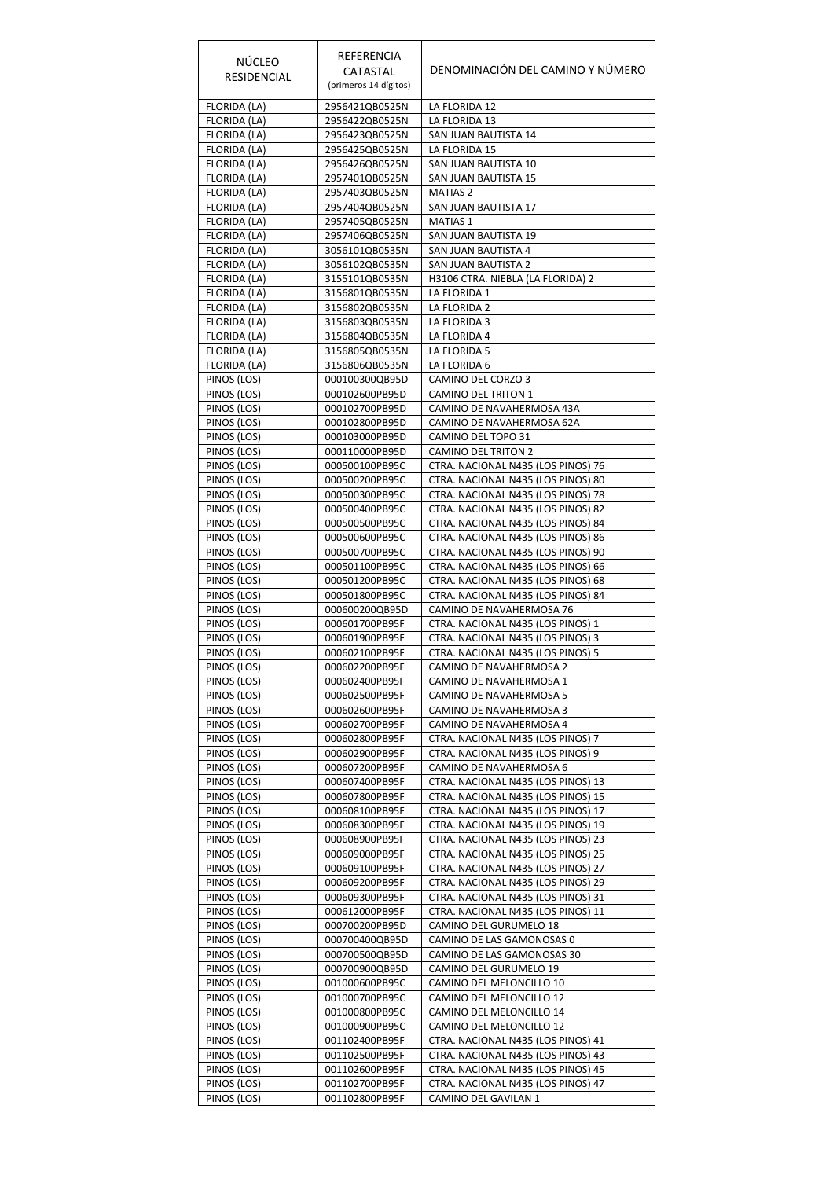| <b>NÚCLEO</b><br>RESIDENCIAL | REFERENCIA<br>CATASTAL<br>(primeros 14 dígitos) | DENOMINACIÓN DEL CAMINO Y NÚMERO                                         |
|------------------------------|-------------------------------------------------|--------------------------------------------------------------------------|
| FLORIDA (LA)                 | 2956421QB0525N                                  | LA FLORIDA 12                                                            |
| FLORIDA (LA)                 | 2956422QB0525N                                  | LA FLORIDA 13                                                            |
| FLORIDA (LA)<br>FLORIDA (LA) | 2956423QB0525N<br>2956425QB0525N                | SAN JUAN BAUTISTA 14<br>LA FLORIDA 15                                    |
| FLORIDA (LA)                 | 2956426QB0525N                                  | SAN JUAN BAUTISTA 10                                                     |
| FLORIDA (LA)                 | 2957401QB0525N                                  | SAN JUAN BAUTISTA 15                                                     |
| FLORIDA (LA)                 | 2957403QB0525N                                  | <b>MATIAS 2</b>                                                          |
| FLORIDA (LA)<br>FLORIDA (LA) | 2957404QB0525N<br>2957405QB0525N                | SAN JUAN BAUTISTA 17<br><b>MATIAS 1</b>                                  |
| FLORIDA (LA)                 | 2957406QB0525N                                  | SAN JUAN BAUTISTA 19                                                     |
| FLORIDA (LA)                 | 3056101QB0535N                                  | SAN JUAN BAUTISTA 4                                                      |
| FLORIDA (LA)                 | 3056102QB0535N                                  | SAN JUAN BAUTISTA 2                                                      |
| FLORIDA (LA)                 | 3155101QB0535N                                  | H3106 CTRA. NIEBLA (LA FLORIDA) 2                                        |
| FLORIDA (LA)<br>FLORIDA (LA) | 3156801QB0535N<br>3156802QB0535N                | LA FLORIDA 1<br>LA FLORIDA 2                                             |
| FLORIDA (LA)                 | 3156803QB0535N                                  | LA FLORIDA 3                                                             |
| FLORIDA (LA)                 | 3156804QB0535N                                  | LA FLORIDA 4                                                             |
| FLORIDA (LA)                 | 3156805QB0535N                                  | LA FLORIDA 5                                                             |
| FLORIDA (LA)                 | 3156806QB0535N                                  | LA FLORIDA 6                                                             |
| PINOS (LOS)                  | 000100300QB95D                                  | CAMINO DEL CORZO 3                                                       |
| PINOS (LOS)<br>PINOS (LOS)   | 000102600PB95D<br>000102700PB95D                | CAMINO DEL TRITON 1<br>CAMINO DE NAVAHERMOSA 43A                         |
| PINOS (LOS)                  | 000102800PB95D                                  | CAMINO DE NAVAHERMOSA 62A                                                |
| PINOS (LOS)                  | 000103000PB95D                                  | CAMINO DEL TOPO 31                                                       |
| PINOS (LOS)                  | 000110000PB95D                                  | <b>CAMINO DEL TRITON 2</b>                                               |
| PINOS (LOS)                  | 000500100PB95C                                  | CTRA. NACIONAL N435 (LOS PINOS) 76                                       |
| PINOS (LOS)<br>PINOS (LOS)   | 000500200PB95C<br>000500300PB95C                | CTRA. NACIONAL N435 (LOS PINOS) 80<br>CTRA. NACIONAL N435 (LOS PINOS) 78 |
| PINOS (LOS)                  | 000500400PB95C                                  | CTRA. NACIONAL N435 (LOS PINOS) 82                                       |
| PINOS (LOS)                  | 000500500PB95C                                  | CTRA. NACIONAL N435 (LOS PINOS) 84                                       |
| PINOS (LOS)                  | 000500600PB95C                                  | CTRA. NACIONAL N435 (LOS PINOS) 86                                       |
| PINOS (LOS)                  | 000500700PB95C                                  | CTRA. NACIONAL N435 (LOS PINOS) 90                                       |
| PINOS (LOS)                  | 000501100PB95C                                  | CTRA. NACIONAL N435 (LOS PINOS) 66                                       |
| PINOS (LOS)<br>PINOS (LOS)   | 000501200PB95C<br>000501800PB95C                | CTRA. NACIONAL N435 (LOS PINOS) 68<br>CTRA. NACIONAL N435 (LOS PINOS) 84 |
| PINOS (LOS)                  | 000600200QB95D                                  | CAMINO DE NAVAHERMOSA 76                                                 |
| PINOS (LOS)                  | 000601700PB95F                                  | CTRA. NACIONAL N435 (LOS PINOS) 1                                        |
| PINOS (LOS)                  | 000601900PB95F                                  | CTRA. NACIONAL N435 (LOS PINOS) 3                                        |
| PINOS (LOS)                  | 000602100PB95F<br>000602200PB95F                | CTRA. NACIONAL N435 (LOS PINOS) 5<br>CAMINO DE NAVAHERMOSA 2             |
| PINOS (LOS)<br>PINOS (LOS)   | 000602400PB95F                                  | CAMINO DE NAVAHERMOSA 1                                                  |
| PINOS (LOS)                  | 000602500PB95F                                  | CAMINO DE NAVAHERMOSA 5                                                  |
| PINOS (LOS)                  | 000602600PB95F                                  | CAMINO DE NAVAHERMOSA 3                                                  |
| PINOS (LOS)                  | 000602700PB95F                                  | CAMINO DE NAVAHERMOSA 4                                                  |
| PINOS (LOS)                  | 000602800PB95F                                  | CTRA. NACIONAL N435 (LOS PINOS) 7                                        |
| PINOS (LOS)<br>PINOS (LOS)   | 000602900PB95F<br>000607200PB95F                | CTRA. NACIONAL N435 (LOS PINOS) 9<br>CAMINO DE NAVAHERMOSA 6             |
| PINOS (LOS)                  | 000607400PB95F                                  | CTRA. NACIONAL N435 (LOS PINOS) 13                                       |
| PINOS (LOS)                  | 000607800PB95F                                  | CTRA. NACIONAL N435 (LOS PINOS) 15                                       |
| PINOS (LOS)                  | 000608100PB95F                                  | CTRA. NACIONAL N435 (LOS PINOS) 17                                       |
| PINOS (LOS)                  | 000608300PB95F                                  | CTRA. NACIONAL N435 (LOS PINOS) 19                                       |
| PINOS (LOS)<br>PINOS (LOS)   | 000608900PB95F<br>000609000PB95F                | CTRA. NACIONAL N435 (LOS PINOS) 23<br>CTRA. NACIONAL N435 (LOS PINOS) 25 |
| PINOS (LOS)                  | 000609100PB95F                                  | CTRA. NACIONAL N435 (LOS PINOS) 27                                       |
| PINOS (LOS)                  | 000609200PB95F                                  | CTRA. NACIONAL N435 (LOS PINOS) 29                                       |
| PINOS (LOS)                  | 000609300PB95F                                  | CTRA. NACIONAL N435 (LOS PINOS) 31                                       |
| PINOS (LOS)                  | 000612000PB95F                                  | CTRA. NACIONAL N435 (LOS PINOS) 11                                       |
| PINOS (LOS)<br>PINOS (LOS)   | 000700200PB95D<br>000700400QB95D                | CAMINO DEL GURUMELO 18<br>CAMINO DE LAS GAMONOSAS 0                      |
| PINOS (LOS)                  | 000700500QB95D                                  | CAMINO DE LAS GAMONOSAS 30                                               |
| PINOS (LOS)                  | 000700900QB95D                                  | CAMINO DEL GURUMELO 19                                                   |
| PINOS (LOS)                  | 001000600PB95C                                  | CAMINO DEL MELONCILLO 10                                                 |
| PINOS (LOS)                  | 001000700PB95C                                  | CAMINO DEL MELONCILLO 12                                                 |
| PINOS (LOS)<br>PINOS (LOS)   | 001000800PB95C<br>001000900PB95C                | CAMINO DEL MELONCILLO 14<br>CAMINO DEL MELONCILLO 12                     |
| PINOS <sub>(LOS)</sub>       | 001102400PB95F                                  | CTRA. NACIONAL N435 (LOS PINOS) 41                                       |
| PINOS (LOS)                  | 001102500PB95F                                  | CTRA. NACIONAL N435 (LOS PINOS) 43                                       |
| PINOS (LOS)                  | 001102600PB95F                                  | CTRA. NACIONAL N435 (LOS PINOS) 45                                       |
| PINOS (LOS)                  | 001102700PB95F                                  | CTRA. NACIONAL N435 (LOS PINOS) 47                                       |
| PINOS (LOS)                  | 001102800PB95F                                  | CAMINO DEL GAVILAN 1                                                     |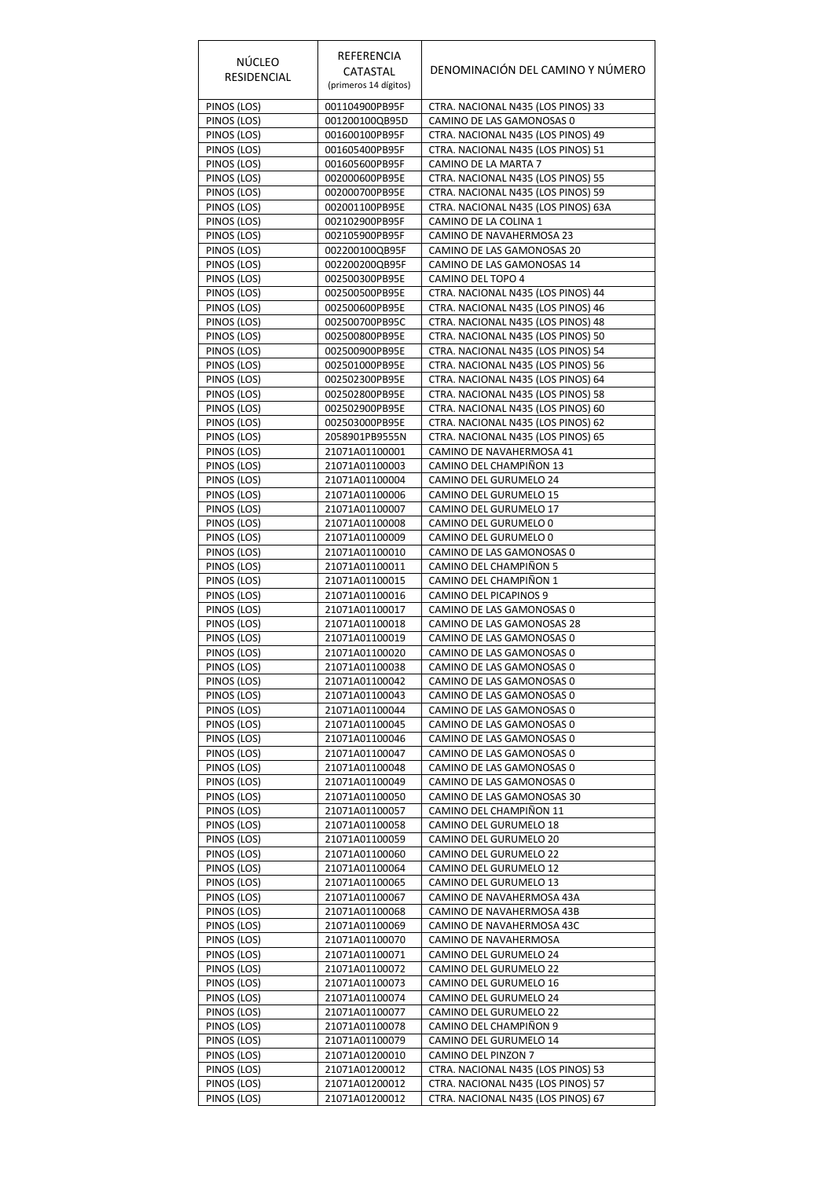| NÚCLEO<br>RESIDENCIAL      | REFERENCIA<br>CATASTAL<br>(primeros 14 dígitos) | DENOMINACIÓN DEL CAMINO Y NÚMERO                                         |
|----------------------------|-------------------------------------------------|--------------------------------------------------------------------------|
| PINOS (LOS)                | 001104900PB95F                                  | CTRA. NACIONAL N435 (LOS PINOS) 33                                       |
| PINOS (LOS)                | 001200100QB95D                                  | CAMINO DE LAS GAMONOSAS 0                                                |
| PINOS (LOS)<br>PINOS (LOS) | 001600100PB95F<br>001605400PB95F                | CTRA. NACIONAL N435 (LOS PINOS) 49<br>CTRA. NACIONAL N435 (LOS PINOS) 51 |
| PINOS (LOS)                | 001605600PB95F                                  | CAMINO DE LA MARTA 7                                                     |
| PINOS (LOS)                | 002000600PB95E                                  | CTRA. NACIONAL N435 (LOS PINOS) 55                                       |
| PINOS (LOS)                | 002000700PB95E                                  | CTRA. NACIONAL N435 (LOS PINOS) 59                                       |
| PINOS (LOS)                | 002001100PB95E                                  | CTRA. NACIONAL N435 (LOS PINOS) 63A                                      |
| PINOS (LOS)                | 002102900PB95F                                  | CAMINO DE LA COLINA 1                                                    |
| PINOS (LOS)                | 002105900PB95F                                  | CAMINO DE NAVAHERMOSA 23                                                 |
| PINOS (LOS)<br>PINOS (LOS) | 002200100QB95F<br>002200200QB95F                | CAMINO DE LAS GAMONOSAS 20<br>CAMINO DE LAS GAMONOSAS 14                 |
| PINOS (LOS)                | 002500300PB95E                                  | CAMINO DEL TOPO 4                                                        |
| PINOS (LOS)                | 002500500PB95E                                  | CTRA. NACIONAL N435 (LOS PINOS) 44                                       |
| PINOS (LOS)                | 002500600PB95E                                  | CTRA. NACIONAL N435 (LOS PINOS) 46                                       |
| PINOS (LOS)                | 002500700PB95C                                  | CTRA. NACIONAL N435 (LOS PINOS) 48                                       |
| PINOS (LOS)                | 002500800PB95E                                  | CTRA. NACIONAL N435 (LOS PINOS) 50                                       |
| PINOS (LOS)                | 002500900PB95E                                  | CTRA. NACIONAL N435 (LOS PINOS) 54                                       |
| PINOS (LOS)                | 002501000PB95E                                  | CTRA. NACIONAL N435 (LOS PINOS) 56                                       |
| PINOS (LOS)                | 002502300PB95E                                  | CTRA. NACIONAL N435 (LOS PINOS) 64                                       |
| PINOS (LOS)<br>PINOS (LOS) | 002502800PB95E<br>002502900PB95E                | CTRA. NACIONAL N435 (LOS PINOS) 58<br>CTRA. NACIONAL N435 (LOS PINOS) 60 |
| PINOS (LOS)                | 002503000PB95E                                  | CTRA. NACIONAL N435 (LOS PINOS) 62                                       |
| PINOS (LOS)                | 2058901PB9555N                                  | CTRA. NACIONAL N435 (LOS PINOS) 65                                       |
| PINOS (LOS)                | 21071A01100001                                  | CAMINO DE NAVAHERMOSA 41                                                 |
| PINOS (LOS)                | 21071A01100003                                  | CAMINO DEL CHAMPIÑON 13                                                  |
| PINOS (LOS)                | 21071A01100004                                  | CAMINO DEL GURUMELO 24                                                   |
| PINOS (LOS)                | 21071A01100006                                  | CAMINO DEL GURUMELO 15                                                   |
| PINOS (LOS)                | 21071A01100007                                  | CAMINO DEL GURUMELO 17                                                   |
| PINOS (LOS)<br>PINOS (LOS) | 21071A01100008<br>21071A01100009                | CAMINO DEL GURUMELO 0<br>CAMINO DEL GURUMELO 0                           |
| PINOS (LOS)                | 21071A01100010                                  | CAMINO DE LAS GAMONOSAS 0                                                |
| PINOS (LOS)                | 21071A01100011                                  | CAMINO DEL CHAMPIÑON 5                                                   |
| PINOS (LOS)                | 21071A01100015                                  | CAMINO DEL CHAMPIÑON 1                                                   |
| PINOS (LOS)                | 21071A01100016                                  | CAMINO DEL PICAPINOS 9                                                   |
| PINOS (LOS)                | 21071A01100017                                  | CAMINO DE LAS GAMONOSAS 0                                                |
| PINOS (LOS)                | 21071A01100018                                  | CAMINO DE LAS GAMONOSAS 28                                               |
| PINOS (LOS)                | 21071A01100019<br>21071A01100020                | CAMINO DE LAS GAMONOSAS 0                                                |
| PINOS (LOS)<br>PINOS (LOS) | 21071A01100038                                  | CAMINO DE LAS GAMONOSAS 0<br>CAMINO DE LAS GAMONOSAS 0                   |
| PINOS (LOS)                | 21071A01100042                                  | CAMINO DE LAS GAMONOSAS 0                                                |
| PINOS (LOS)                | 21071A01100043                                  | CAMINO DE LAS GAMONOSAS 0                                                |
| PINOS (LOS)                | 21071A01100044                                  | CAMINO DE LAS GAMONOSAS 0                                                |
| PINOS (LOS)                | 21071A01100045                                  | CAMINO DE LAS GAMONOSAS 0                                                |
| PINOS (LOS)                | 21071A01100046                                  | CAMINO DE LAS GAMONOSAS 0                                                |
| PINOS (LOS)                | 21071A01100047                                  | CAMINO DE LAS GAMONOSAS 0                                                |
| PINOS (LOS)<br>PINOS (LOS) | 21071A01100048<br>21071A01100049                | CAMINO DE LAS GAMONOSAS 0<br>CAMINO DE LAS GAMONOSAS 0                   |
| PINOS (LOS)                | 21071A01100050                                  | CAMINO DE LAS GAMONOSAS 30                                               |
| PINOS (LOS)                | 21071A01100057                                  | CAMINO DEL CHAMPIÑON 11                                                  |
| PINOS (LOS)                | 21071A01100058                                  | CAMINO DEL GURUMELO 18                                                   |
| PINOS (LOS)                | 21071A01100059                                  | CAMINO DEL GURUMELO 20                                                   |
| PINOS (LOS)                | 21071A01100060                                  | CAMINO DEL GURUMELO 22                                                   |
| PINOS (LOS)                | 21071A01100064                                  | CAMINO DEL GURUMELO 12                                                   |
| PINOS (LOS)<br>PINOS (LOS) | 21071A01100065<br>21071A01100067                | CAMINO DEL GURUMELO 13<br>CAMINO DE NAVAHERMOSA 43A                      |
| PINOS (LOS)                | 21071A01100068                                  | CAMINO DE NAVAHERMOSA 43B                                                |
| PINOS (LOS)                | 21071A01100069                                  | CAMINO DE NAVAHERMOSA 43C                                                |
| PINOS (LOS)                | 21071A01100070                                  | CAMINO DE NAVAHERMOSA                                                    |
| PINOS (LOS)                | 21071A01100071                                  | CAMINO DEL GURUMELO 24                                                   |
| PINOS (LOS)                | 21071A01100072                                  | CAMINO DEL GURUMELO 22                                                   |
| PINOS (LOS)                | 21071A01100073                                  | CAMINO DEL GURUMELO 16                                                   |
| PINOS (LOS)                | 21071A01100074                                  | CAMINO DEL GURUMELO 24                                                   |
| PINOS (LOS)<br>PINOS (LOS) | 21071A01100077<br>21071A01100078                | CAMINO DEL GURUMELO 22<br>CAMINO DEL CHAMPIÑON 9                         |
| PINOS (LOS)                | 21071A01100079                                  | CAMINO DEL GURUMELO 14                                                   |
| PINOS (LOS)                | 21071A01200010                                  | CAMINO DEL PINZON 7                                                      |
| PINOS (LOS)                | 21071A01200012                                  | CTRA. NACIONAL N435 (LOS PINOS) 53                                       |
| PINOS (LOS)                | 21071A01200012                                  | CTRA. NACIONAL N435 (LOS PINOS) 57                                       |
| PINOS (LOS)                | 21071A01200012                                  | CTRA. NACIONAL N435 (LOS PINOS) 67                                       |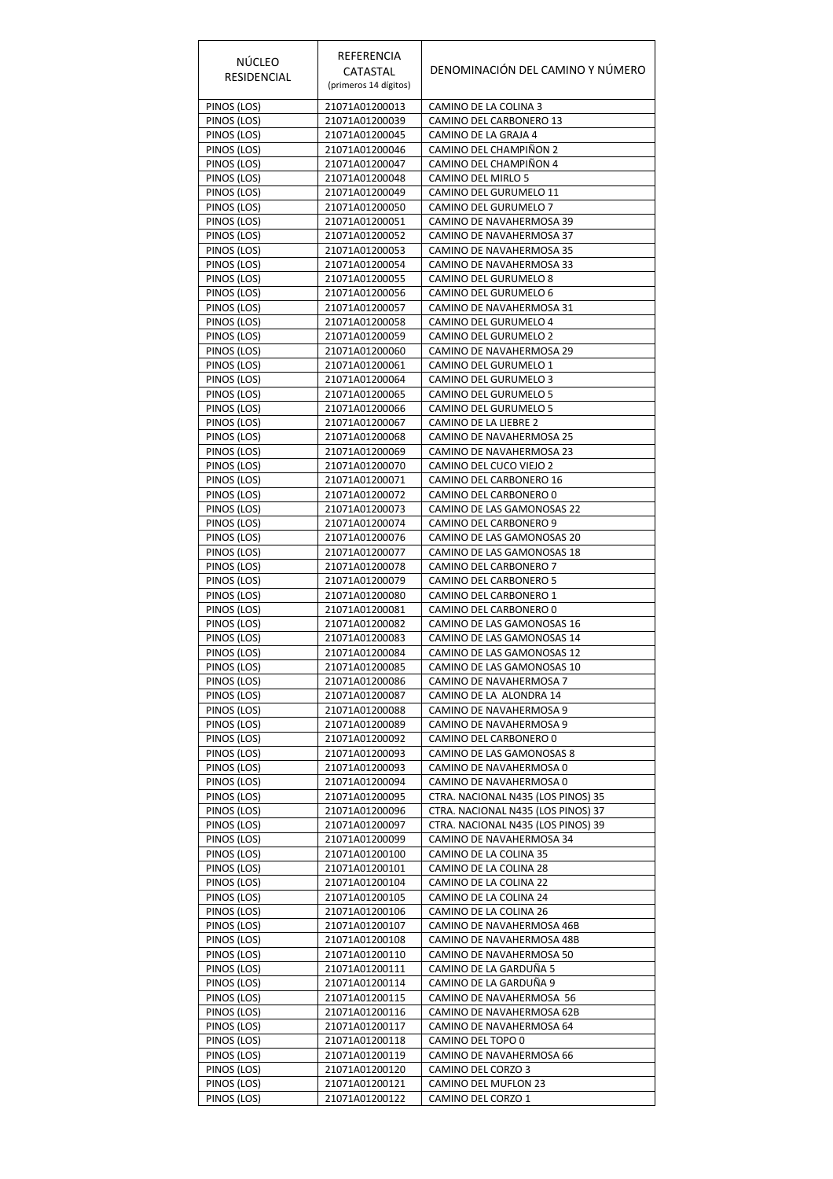| <b>NÚCLEO</b><br><b>RESIDENCIAL</b> | REFERENCIA<br>CATASTAL<br>(primeros 14 dígitos) | DENOMINACIÓN DEL CAMINO Y NÚMERO                         |
|-------------------------------------|-------------------------------------------------|----------------------------------------------------------|
| PINOS (LOS)                         | 21071A01200013                                  | CAMINO DE LA COLINA 3                                    |
| PINOS (LOS)                         | 21071A01200039                                  | CAMINO DEL CARBONERO 13                                  |
| PINOS (LOS)                         | 21071A01200045                                  | CAMINO DE LA GRAJA 4                                     |
| PINOS (LOS)<br>PINOS (LOS)          | 21071A01200046<br>21071A01200047                | CAMINO DEL CHAMPIÑON 2<br>CAMINO DEL CHAMPIÑON 4         |
| PINOS (LOS)                         | 21071A01200048                                  | CAMINO DEL MIRLO 5                                       |
| PINOS (LOS)                         | 21071A01200049                                  | CAMINO DEL GURUMELO 11                                   |
| PINOS (LOS)                         | 21071A01200050                                  | CAMINO DEL GURUMELO 7                                    |
| PINOS (LOS)                         | 21071A01200051                                  | CAMINO DE NAVAHERMOSA 39                                 |
| PINOS (LOS)                         | 21071A01200052                                  | CAMINO DE NAVAHERMOSA 37                                 |
| PINOS (LOS)                         | 21071A01200053                                  | CAMINO DE NAVAHERMOSA 35                                 |
| PINOS (LOS)<br>PINOS (LOS)          | 21071A01200054<br>21071A01200055                | CAMINO DE NAVAHERMOSA 33<br>CAMINO DEL GURUMELO 8        |
| PINOS (LOS)                         | 21071A01200056                                  | CAMINO DEL GURUMELO 6                                    |
| PINOS (LOS)                         | 21071A01200057                                  | CAMINO DE NAVAHERMOSA 31                                 |
| PINOS (LOS)                         | 21071A01200058                                  | CAMINO DEL GURUMELO 4                                    |
| PINOS (LOS)                         | 21071A01200059                                  | CAMINO DEL GURUMELO 2                                    |
| PINOS (LOS)                         | 21071A01200060                                  | CAMINO DE NAVAHERMOSA 29                                 |
| PINOS (LOS)                         | 21071A01200061                                  | CAMINO DEL GURUMELO 1                                    |
| PINOS (LOS)                         | 21071A01200064                                  | CAMINO DEL GURUMELO 3                                    |
| PINOS (LOS)<br>PINOS (LOS)          | 21071A01200065<br>21071A01200066                | CAMINO DEL GURUMELO 5<br>CAMINO DEL GURUMELO 5           |
| PINOS (LOS)                         | 21071A01200067                                  | CAMINO DE LA LIEBRE 2                                    |
| PINOS (LOS)                         | 21071A01200068                                  | CAMINO DE NAVAHERMOSA 25                                 |
| PINOS (LOS)                         | 21071A01200069                                  | CAMINO DE NAVAHERMOSA 23                                 |
| PINOS (LOS)                         | 21071A01200070                                  | CAMINO DEL CUCO VIEJO 2                                  |
| PINOS (LOS)                         | 21071A01200071                                  | CAMINO DEL CARBONERO 16                                  |
| PINOS (LOS)                         | 21071A01200072                                  | CAMINO DEL CARBONERO 0                                   |
| PINOS (LOS)                         | 21071A01200073                                  | CAMINO DE LAS GAMONOSAS 22                               |
| PINOS (LOS)<br>PINOS (LOS)          | 21071A01200074<br>21071A01200076                | CAMINO DEL CARBONERO 9<br>CAMINO DE LAS GAMONOSAS 20     |
| PINOS (LOS)                         | 21071A01200077                                  | CAMINO DE LAS GAMONOSAS 18                               |
| PINOS (LOS)                         | 21071A01200078                                  | CAMINO DEL CARBONERO 7                                   |
| PINOS (LOS)                         | 21071A01200079                                  | CAMINO DEL CARBONERO 5                                   |
| PINOS (LOS)                         | 21071A01200080                                  | CAMINO DEL CARBONERO 1                                   |
| PINOS (LOS)                         | 21071A01200081                                  | CAMINO DEL CARBONERO 0                                   |
| PINOS (LOS)                         | 21071A01200082                                  | CAMINO DE LAS GAMONOSAS 16                               |
| PINOS (LOS)<br>PINOS (LOS)          | 21071A01200083<br>21071A01200084                | CAMINO DE LAS GAMONOSAS 14<br>CAMINO DE LAS GAMONOSAS 12 |
| PINOS (LOS)                         | 21071A01200085                                  | CAMINO DE LAS GAMONOSAS 10                               |
| PINOS (LOS)                         | 21071A01200086                                  | CAMINO DE NAVAHERMOSA 7                                  |
| PINOS (LOS)                         | 21071A01200087                                  | CAMINO DE LA ALONDRA 14                                  |
| PINOS (LOS)                         | 21071A01200088                                  | CAMINO DE NAVAHERMOSA 9                                  |
| PINOS (LOS)                         | 21071A01200089                                  | CAMINO DE NAVAHERMOSA 9                                  |
| PINOS (LOS)                         | 21071A01200092                                  | CAMINO DEL CARBONERO 0                                   |
| PINOS (LOS)<br>PINOS (LOS)          | 21071A01200093<br>21071A01200093                | CAMINO DE LAS GAMONOSAS 8<br>CAMINO DE NAVAHERMOSA 0     |
| PINOS (LOS)                         | 21071A01200094                                  | CAMINO DE NAVAHERMOSA 0                                  |
| PINOS (LOS)                         | 21071A01200095                                  | CTRA. NACIONAL N435 (LOS PINOS) 35                       |
| PINOS (LOS)                         | 21071A01200096                                  | CTRA. NACIONAL N435 (LOS PINOS) 37                       |
| PINOS (LOS)                         | 21071A01200097                                  | CTRA. NACIONAL N435 (LOS PINOS) 39                       |
| PINOS (LOS)                         | 21071A01200099                                  | CAMINO DE NAVAHERMOSA 34                                 |
| PINOS (LOS)                         | 21071A01200100                                  | CAMINO DE LA COLINA 35                                   |
| PINOS (LOS)<br>PINOS (LOS)          | 21071A01200101<br>21071A01200104                | CAMINO DE LA COLINA 28<br>CAMINO DE LA COLINA 22         |
| PINOS (LOS)                         | 21071A01200105                                  | CAMINO DE LA COLINA 24                                   |
| PINOS (LOS)                         | 21071A01200106                                  | CAMINO DE LA COLINA 26                                   |
| PINOS (LOS)                         | 21071A01200107                                  | CAMINO DE NAVAHERMOSA 46B                                |
| PINOS (LOS)                         | 21071A01200108                                  | CAMINO DE NAVAHERMOSA 48B                                |
| PINOS (LOS)                         | 21071A01200110                                  | CAMINO DE NAVAHERMOSA 50                                 |
| PINOS (LOS)                         | 21071A01200111                                  | CAMINO DE LA GARDUÑA 5                                   |
| PINOS (LOS)                         | 21071A01200114                                  | CAMINO DE LA GARDUÑA 9                                   |
| PINOS (LOS)<br>PINOS (LOS)          | 21071A01200115<br>21071A01200116                | CAMINO DE NAVAHERMOSA 56<br>CAMINO DE NAVAHERMOSA 62B    |
| PINOS (LOS)                         | 21071A01200117                                  | CAMINO DE NAVAHERMOSA 64                                 |
| PINOS (LOS)                         | 21071A01200118                                  | CAMINO DEL TOPO 0                                        |
| PINOS (LOS)                         | 21071A01200119                                  | CAMINO DE NAVAHERMOSA 66                                 |
| PINOS (LOS)                         | 21071A01200120                                  | CAMINO DEL CORZO 3                                       |
| PINOS (LOS)                         | 21071A01200121                                  | CAMINO DEL MUFLON 23                                     |
| PINOS (LOS)                         | 21071A01200122                                  | CAMINO DEL CORZO 1                                       |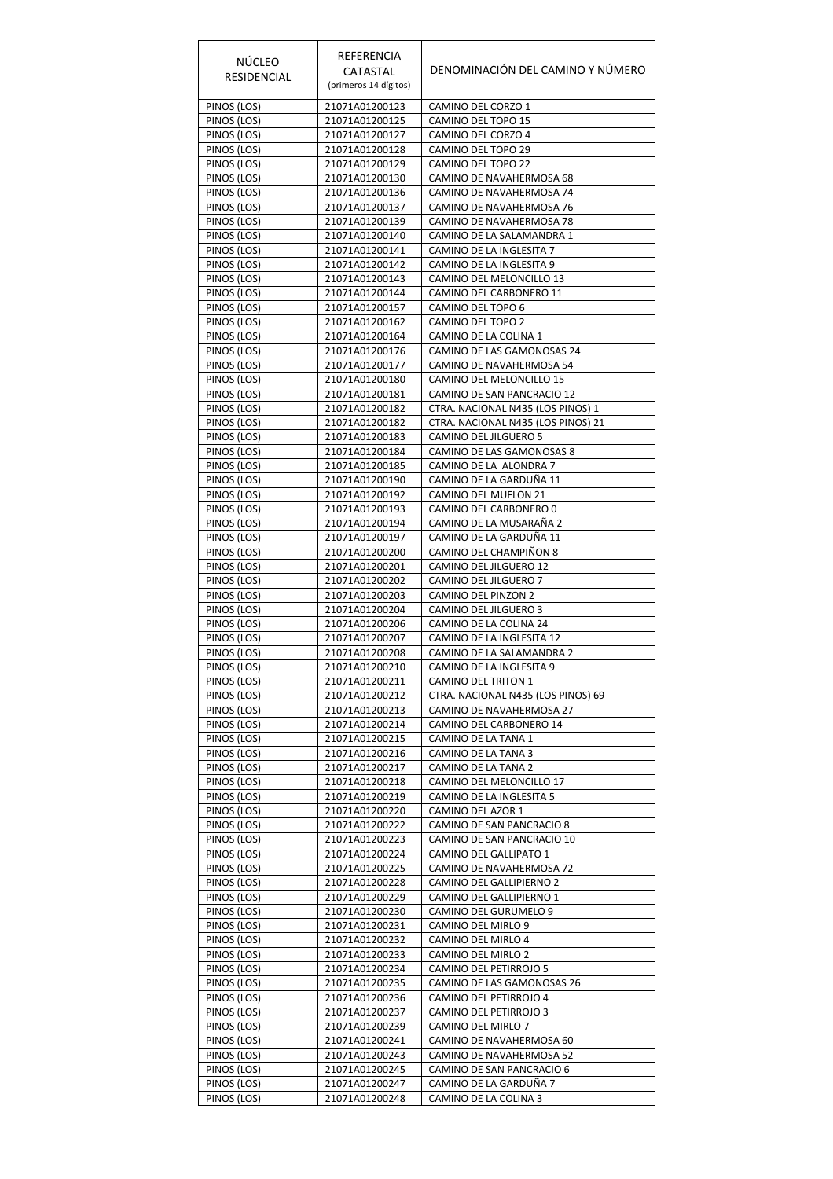| <b>NÚCLEO</b><br><b>RESIDENCIAL</b> | REFERENCIA<br>CATASTAL<br>(primeros 14 dígitos) | DENOMINACIÓN DEL CAMINO Y NÚMERO                    |
|-------------------------------------|-------------------------------------------------|-----------------------------------------------------|
| PINOS (LOS)                         | 21071A01200123                                  | CAMINO DEL CORZO 1                                  |
| PINOS (LOS)                         | 21071A01200125                                  | CAMINO DEL TOPO 15                                  |
| PINOS (LOS)                         | 21071A01200127                                  | CAMINO DEL CORZO 4                                  |
| PINOS (LOS)                         | 21071A01200128                                  | CAMINO DEL TOPO 29                                  |
| PINOS (LOS)<br>PINOS (LOS)          | 21071A01200129<br>21071A01200130                | CAMINO DEL TOPO 22<br>CAMINO DE NAVAHERMOSA 68      |
| PINOS (LOS)                         | 21071A01200136                                  | CAMINO DE NAVAHERMOSA 74                            |
| PINOS (LOS)                         | 21071A01200137                                  | CAMINO DE NAVAHERMOSA 76                            |
| PINOS (LOS)                         | 21071A01200139                                  | CAMINO DE NAVAHERMOSA 78                            |
| PINOS (LOS)                         | 21071A01200140                                  | CAMINO DE LA SALAMANDRA 1                           |
| PINOS (LOS)                         | 21071A01200141                                  | CAMINO DE LA INGLESITA 7                            |
| PINOS (LOS)                         | 21071A01200142                                  | CAMINO DE LA INGLESITA 9                            |
| PINOS (LOS)                         | 21071A01200143                                  | CAMINO DEL MELONCILLO 13                            |
| PINOS (LOS)<br>PINOS (LOS)          | 21071A01200144<br>21071A01200157                | CAMINO DEL CARBONERO 11<br>CAMINO DEL TOPO 6        |
| PINOS (LOS)                         | 21071A01200162                                  | CAMINO DEL TOPO 2                                   |
| PINOS (LOS)                         | 21071A01200164                                  | CAMINO DE LA COLINA 1                               |
| PINOS (LOS)                         | 21071A01200176                                  | CAMINO DE LAS GAMONOSAS 24                          |
| PINOS (LOS)                         | 21071A01200177                                  | CAMINO DE NAVAHERMOSA 54                            |
| PINOS (LOS)                         | 21071A01200180                                  | CAMINO DEL MELONCILLO 15                            |
| PINOS (LOS)                         | 21071A01200181                                  | CAMINO DE SAN PANCRACIO 12                          |
| PINOS (LOS)                         | 21071A01200182                                  | CTRA. NACIONAL N435 (LOS PINOS) 1                   |
| PINOS (LOS)                         | 21071A01200182                                  | CTRA. NACIONAL N435 (LOS PINOS) 21                  |
| PINOS (LOS)                         | 21071A01200183                                  | CAMINO DEL JILGUERO 5<br>CAMINO DE LAS GAMONOSAS 8  |
| PINOS (LOS)<br>PINOS (LOS)          | 21071A01200184<br>21071A01200185                | CAMINO DE LA ALONDRA 7                              |
| PINOS (LOS)                         | 21071A01200190                                  | CAMINO DE LA GARDUÑA 11                             |
| PINOS (LOS)                         | 21071A01200192                                  | CAMINO DEL MUFLON 21                                |
| PINOS (LOS)                         | 21071A01200193                                  | CAMINO DEL CARBONERO 0                              |
| PINOS (LOS)                         | 21071A01200194                                  | CAMINO DE LA MUSARAÑA 2                             |
| PINOS (LOS)                         | 21071A01200197                                  | CAMINO DE LA GARDUÑA 11                             |
| PINOS (LOS)                         | 21071A01200200                                  | CAMINO DEL CHAMPIÑON 8                              |
| PINOS (LOS)                         | 21071A01200201                                  | CAMINO DEL JILGUERO 12                              |
| PINOS (LOS)<br>PINOS (LOS)          | 21071A01200202<br>21071A01200203                | CAMINO DEL JILGUERO 7<br>CAMINO DEL PINZON 2        |
| PINOS (LOS)                         | 21071A01200204                                  | CAMINO DEL JILGUERO 3                               |
| PINOS (LOS)                         | 21071A01200206                                  | CAMINO DE LA COLINA 24                              |
| PINOS (LOS)                         | 21071A01200207                                  | CAMINO DE LA INGLESITA 12                           |
| PINOS (LOS)                         | 21071A01200208                                  | CAMINO DE LA SALAMANDRA 2                           |
| PINOS (LOS)                         | 21071A01200210                                  | CAMINO DE LA INGLESITA 9                            |
| PINOS (LOS)                         | 21071A01200211                                  | CAMINO DEL TRITON 1                                 |
| PINOS (LOS)                         | 21071A01200212                                  | CTRA. NACIONAL N435 (LOS PINOS) 69                  |
| PINOS (LOS)                         | 21071A01200213<br>21071A01200214                | CAMINO DE NAVAHERMOSA 27<br>CAMINO DEL CARBONERO 14 |
| PINOS (LOS)<br>PINOS (LOS)          | 21071A01200215                                  | CAMINO DE LA TANA 1                                 |
| PINOS (LOS)                         | 21071A01200216                                  | CAMINO DE LA TANA 3                                 |
| PINOS (LOS)                         | 21071A01200217                                  | CAMINO DE LA TANA 2                                 |
| PINOS (LOS)                         | 21071A01200218                                  | CAMINO DEL MELONCILLO 17                            |
| PINOS (LOS)                         | 21071A01200219                                  | CAMINO DE LA INGLESITA 5                            |
| PINOS (LOS)                         | 21071A01200220                                  | CAMINO DEL AZOR 1                                   |
| PINOS (LOS)                         | 21071A01200222                                  | CAMINO DE SAN PANCRACIO 8                           |
| PINOS (LOS)                         | 21071A01200223                                  | CAMINO DE SAN PANCRACIO 10                          |
| PINOS (LOS)<br>PINOS (LOS)          | 21071A01200224<br>21071A01200225                | CAMINO DEL GALLIPATO 1<br>CAMINO DE NAVAHERMOSA 72  |
| PINOS (LOS)                         | 21071A01200228                                  | CAMINO DEL GALLIPIERNO 2                            |
| PINOS (LOS)                         | 21071A01200229                                  | CAMINO DEL GALLIPIERNO 1                            |
| PINOS (LOS)                         | 21071A01200230                                  | CAMINO DEL GURUMELO 9                               |
| PINOS (LOS)                         | 21071A01200231                                  | CAMINO DEL MIRLO 9                                  |
| PINOS (LOS)                         | 21071A01200232                                  | CAMINO DEL MIRLO 4                                  |
| PINOS (LOS)                         | 21071A01200233                                  | CAMINO DEL MIRLO 2                                  |
| PINOS (LOS)                         | 21071A01200234                                  | CAMINO DEL PETIRROJO 5                              |
| PINOS (LOS)                         | 21071A01200235                                  | CAMINO DE LAS GAMONOSAS 26                          |
| PINOS (LOS)<br>PINOS (LOS)          | 21071A01200236<br>21071A01200237                | CAMINO DEL PETIRROJO 4<br>CAMINO DEL PETIRROJO 3    |
| PINOS (LOS)                         | 21071A01200239                                  | CAMINO DEL MIRLO 7                                  |
| PINOS (LOS)                         | 21071A01200241                                  | CAMINO DE NAVAHERMOSA 60                            |
| PINOS (LOS)                         | 21071A01200243                                  | CAMINO DE NAVAHERMOSA 52                            |
| PINOS (LOS)                         | 21071A01200245                                  | CAMINO DE SAN PANCRACIO 6                           |
| PINOS (LOS)                         | 21071A01200247                                  | CAMINO DE LA GARDUÑA 7                              |
| PINOS (LOS)                         | 21071A01200248                                  | CAMINO DE LA COLINA 3                               |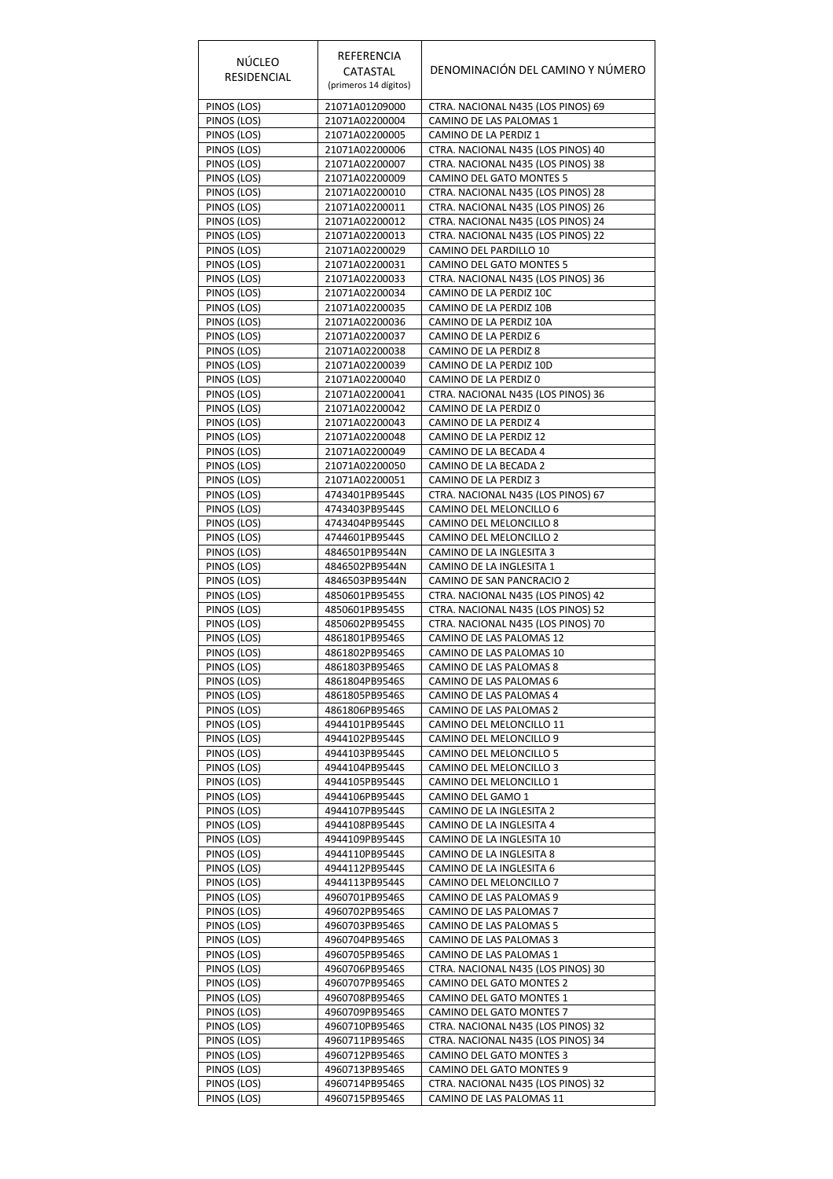| <b>NÚCLEO</b><br>RESIDENCIAL | REFERENCIA<br>CATASTAL<br>(primeros 14 dígitos) | DENOMINACIÓN DEL CAMINO Y NÚMERO                                         |
|------------------------------|-------------------------------------------------|--------------------------------------------------------------------------|
| PINOS (LOS)                  | 21071A01209000                                  | CTRA. NACIONAL N435 (LOS PINOS) 69                                       |
| PINOS (LOS)                  | 21071A02200004                                  | CAMINO DE LAS PALOMAS 1                                                  |
| PINOS (LOS)<br>PINOS (LOS)   | 21071A02200005<br>21071A02200006                | CAMINO DE LA PERDIZ 1<br>CTRA. NACIONAL N435 (LOS PINOS) 40              |
| PINOS (LOS)                  | 21071A02200007                                  | CTRA. NACIONAL N435 (LOS PINOS) 38                                       |
| PINOS (LOS)                  | 21071A02200009                                  | CAMINO DEL GATO MONTES 5                                                 |
| PINOS (LOS)                  | 21071A02200010                                  | CTRA. NACIONAL N435 (LOS PINOS) 28                                       |
| PINOS (LOS)<br>PINOS (LOS)   | 21071A02200011<br>21071A02200012                | CTRA. NACIONAL N435 (LOS PINOS) 26<br>CTRA. NACIONAL N435 (LOS PINOS) 24 |
| PINOS (LOS)                  | 21071A02200013                                  | CTRA. NACIONAL N435 (LOS PINOS) 22                                       |
| PINOS (LOS)                  | 21071A02200029                                  | CAMINO DEL PARDILLO 10                                                   |
| PINOS (LOS)                  | 21071A02200031                                  | CAMINO DEL GATO MONTES 5                                                 |
| PINOS (LOS)<br>PINOS (LOS)   | 21071A02200033<br>21071A02200034                | CTRA. NACIONAL N435 (LOS PINOS) 36<br>CAMINO DE LA PERDIZ 10C            |
| PINOS (LOS)                  | 21071A02200035                                  | CAMINO DE LA PERDIZ 10B                                                  |
| PINOS (LOS)                  | 21071A02200036                                  | CAMINO DE LA PERDIZ 10A                                                  |
| PINOS (LOS)                  | 21071A02200037                                  | CAMINO DE LA PERDIZ 6                                                    |
| PINOS (LOS)                  | 21071A02200038                                  | CAMINO DE LA PERDIZ 8                                                    |
| PINOS (LOS)<br>PINOS (LOS)   | 21071A02200039<br>21071A02200040                | CAMINO DE LA PERDIZ 10D<br>CAMINO DE LA PERDIZ 0                         |
| PINOS (LOS)                  | 21071A02200041                                  | CTRA. NACIONAL N435 (LOS PINOS) 36                                       |
| PINOS (LOS)                  | 21071A02200042                                  | CAMINO DE LA PERDIZ 0                                                    |
| PINOS (LOS)                  | 21071A02200043                                  | CAMINO DE LA PERDIZ 4                                                    |
| PINOS (LOS)                  | 21071A02200048                                  | CAMINO DE LA PERDIZ 12                                                   |
| PINOS (LOS)                  | 21071A02200049                                  | CAMINO DE LA BECADA 4                                                    |
| PINOS (LOS)<br>PINOS (LOS)   | 21071A02200050<br>21071A02200051                | CAMINO DE LA BECADA 2<br>CAMINO DE LA PERDIZ 3                           |
| PINOS (LOS)                  | 4743401PB9544S                                  | CTRA. NACIONAL N435 (LOS PINOS) 67                                       |
| PINOS (LOS)                  | 4743403PB9544S                                  | CAMINO DEL MELONCILLO 6                                                  |
| PINOS (LOS)                  | 4743404PB9544S                                  | CAMINO DEL MELONCILLO 8                                                  |
| PINOS (LOS)                  | 4744601PB9544S                                  | CAMINO DEL MELONCILLO 2                                                  |
| PINOS (LOS)<br>PINOS (LOS)   | 4846501PB9544N<br>4846502PB9544N                | CAMINO DE LA INGLESITA 3<br>CAMINO DE LA INGLESITA 1                     |
| PINOS (LOS)                  | 4846503PB9544N                                  | CAMINO DE SAN PANCRACIO 2                                                |
| PINOS (LOS)                  | 4850601PB9545S                                  | CTRA. NACIONAL N435 (LOS PINOS) 42                                       |
| PINOS (LOS)                  | 4850601PB9545S                                  | CTRA. NACIONAL N435 (LOS PINOS) 52                                       |
| PINOS (LOS)<br>PINOS (LOS)   | 4850602PB9545S<br>4861801PB9546S                | CTRA. NACIONAL N435 (LOS PINOS) 70<br>CAMINO DE LAS PALOMAS 12           |
| PINOS (LOS)                  | 4861802PB9546S                                  | CAMINO DE LAS PALOMAS 10                                                 |
| PINOS (LOS)                  | 4861803PB9546S                                  | CAMINO DE LAS PALOMAS 8                                                  |
| PINOS (LOS)                  | 4861804PB9546S                                  | CAMINO DE LAS PALOMAS 6                                                  |
| PINOS (LOS)                  | 4861805PB9546S                                  | CAMINO DE LAS PALOMAS 4                                                  |
| PINOS (LOS)<br>PINOS (LOS)   | 4861806PB9546S<br>4944101PB9544S                | CAMINO DE LAS PALOMAS 2<br>CAMINO DEL MELONCILLO 11                      |
| PINOS (LOS)                  | 4944102PB9544S                                  | CAMINO DEL MELONCILLO 9                                                  |
| PINOS (LOS)                  | 4944103PB9544S                                  | CAMINO DEL MELONCILLO 5                                                  |
| PINOS (LOS)                  | 4944104PB9544S                                  | CAMINO DEL MELONCILLO 3                                                  |
| PINOS (LOS)                  | 4944105PB9544S                                  | CAMINO DEL MELONCILLO 1                                                  |
| PINOS (LOS)<br>PINOS (LOS)   | 4944106PB9544S<br>4944107PB9544S                | CAMINO DEL GAMO 1<br>CAMINO DE LA INGLESITA 2                            |
| PINOS (LOS)                  | 4944108PB9544S                                  | CAMINO DE LA INGLESITA 4                                                 |
| PINOS (LOS)                  | 4944109PB9544S                                  | CAMINO DE LA INGLESITA 10                                                |
| PINOS (LOS)                  | 4944110PB9544S                                  | CAMINO DE LA INGLESITA 8                                                 |
| PINOS (LOS)                  | 4944112PB9544S                                  | CAMINO DE LA INGLESITA 6                                                 |
| PINOS (LOS)<br>PINOS (LOS)   | 4944113PB9544S<br>4960701PB9546S                | CAMINO DEL MELONCILLO 7<br>CAMINO DE LAS PALOMAS 9                       |
| PINOS (LOS)                  | 4960702PB9546S                                  | CAMINO DE LAS PALOMAS 7                                                  |
| PINOS (LOS)                  | 4960703PB9546S                                  | CAMINO DE LAS PALOMAS 5                                                  |
| PINOS (LOS)                  | 4960704PB9546S                                  | CAMINO DE LAS PALOMAS 3                                                  |
| PINOS (LOS)                  | 4960705PB9546S                                  | CAMINO DE LAS PALOMAS 1                                                  |
| PINOS (LOS)<br>PINOS (LOS)   | 4960706PB9546S<br>4960707PB9546S                | CTRA. NACIONAL N435 (LOS PINOS) 30<br>CAMINO DEL GATO MONTES 2           |
| PINOS (LOS)                  | 4960708PB9546S                                  | CAMINO DEL GATO MONTES 1                                                 |
| PINOS (LOS)                  | 4960709PB9546S                                  | CAMINO DEL GATO MONTES 7                                                 |
| PINOS (LOS)                  | 4960710PB9546S                                  | CTRA. NACIONAL N435 (LOS PINOS) 32                                       |
| PINOS <sub>(LOS)</sub>       | 4960711PB9546S                                  | CTRA. NACIONAL N435 (LOS PINOS) 34                                       |
| PINOS (LOS)<br>PINOS (LOS)   | 4960712PB9546S<br>4960713PB9546S                | CAMINO DEL GATO MONTES 3<br>CAMINO DEL GATO MONTES 9                     |
| PINOS (LOS)                  | 4960714PB9546S                                  | CTRA. NACIONAL N435 (LOS PINOS) 32                                       |
| PINOS (LOS)                  | 4960715PB9546S                                  | CAMINO DE LAS PALOMAS 11                                                 |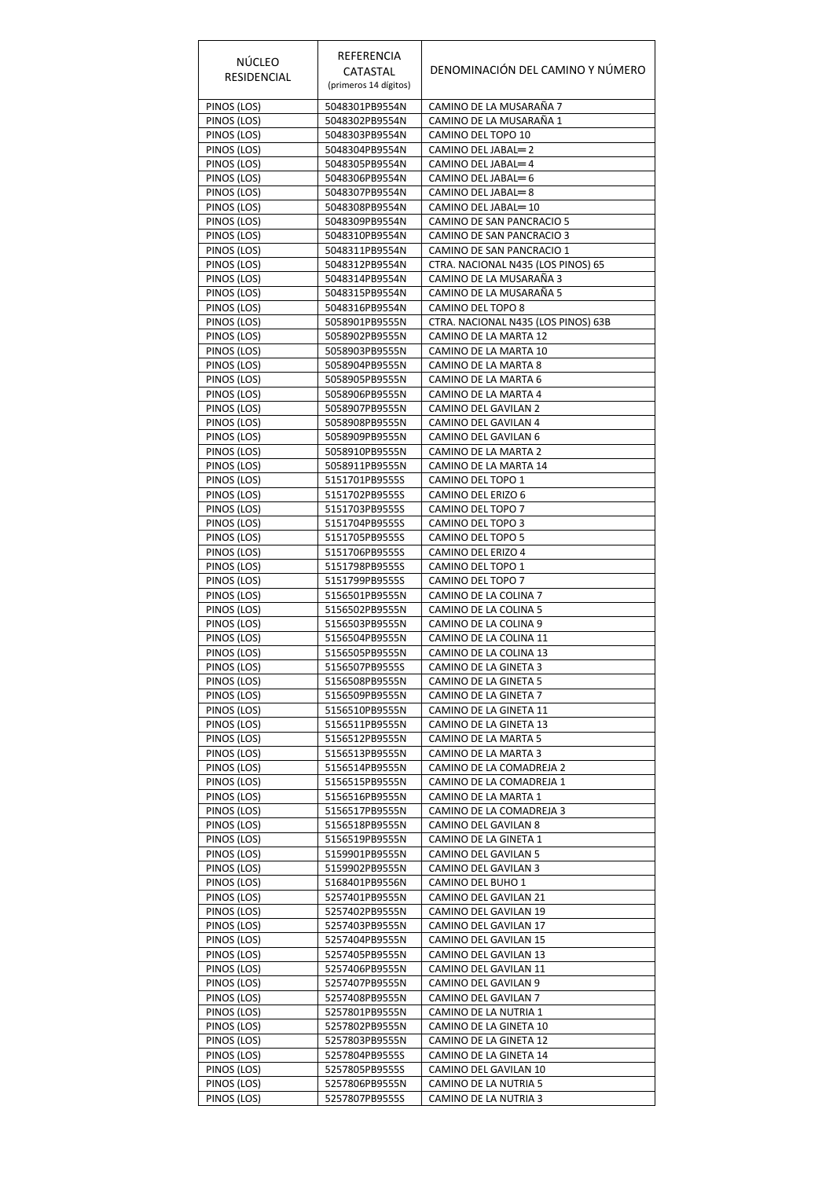| <b>NÚCLEO</b><br>RESIDENCIAL | REFERENCIA<br>CATASTAL<br>(primeros 14 dígitos) | DENOMINACIÓN DEL CAMINO Y NÚMERO                 |
|------------------------------|-------------------------------------------------|--------------------------------------------------|
| PINOS (LOS)                  | 5048301PB9554N                                  | CAMINO DE LA MUSARAÑA 7                          |
| PINOS (LOS)                  | 5048302PB9554N                                  | CAMINO DE LA MUSARAÑA 1                          |
| PINOS (LOS)<br>PINOS (LOS)   | 5048303PB9554N<br>5048304PB9554N                | CAMINO DEL TOPO 10<br>CAMINO DEL JABAL=2         |
| PINOS (LOS)                  | 5048305PB9554N                                  | CAMINO DEL JABAL=4                               |
| PINOS (LOS)                  | 5048306PB9554N                                  | CAMINO DEL JABAL=6                               |
| PINOS (LOS)                  | 5048307PB9554N                                  | CAMINO DEL JABAL=8                               |
| PINOS (LOS)                  | 5048308PB9554N                                  | CAMINO DEL JABAL=10<br>CAMINO DE SAN PANCRACIO 5 |
| PINOS (LOS)<br>PINOS (LOS)   | 5048309PB9554N<br>5048310PB9554N                | CAMINO DE SAN PANCRACIO 3                        |
| PINOS (LOS)                  | 5048311PB9554N                                  | CAMINO DE SAN PANCRACIO 1                        |
| PINOS (LOS)                  | 5048312PB9554N                                  | CTRA. NACIONAL N435 (LOS PINOS) 65               |
| PINOS (LOS)                  | 5048314PB9554N                                  | CAMINO DE LA MUSARAÑA 3                          |
| PINOS (LOS)<br>PINOS (LOS)   | 5048315PB9554N<br>5048316PB9554N                | CAMINO DE LA MUSARAÑA 5<br>CAMINO DEL TOPO 8     |
| PINOS (LOS)                  | 5058901PB9555N                                  | CTRA. NACIONAL N435 (LOS PINOS) 63B              |
| PINOS (LOS)                  | 5058902PB9555N                                  | CAMINO DE LA MARTA 12                            |
| PINOS (LOS)                  | 5058903PB9555N                                  | CAMINO DE LA MARTA 10                            |
| PINOS (LOS)                  | 5058904PB9555N                                  | CAMINO DE LA MARTA 8                             |
| PINOS (LOS)<br>PINOS (LOS)   | 5058905PB9555N<br>5058906PB9555N                | CAMINO DE LA MARTA 6<br>CAMINO DE LA MARTA 4     |
| PINOS (LOS)                  | 5058907PB9555N                                  | CAMINO DEL GAVILAN 2                             |
| PINOS (LOS)                  | 5058908PB9555N                                  | CAMINO DEL GAVILAN 4                             |
| PINOS (LOS)                  | 5058909PB9555N                                  | CAMINO DEL GAVILAN 6                             |
| PINOS (LOS)                  | 5058910PB9555N                                  | CAMINO DE LA MARTA 2                             |
| PINOS (LOS)                  | 5058911PB9555N<br>5151701PB9555S                | CAMINO DE LA MARTA 14<br>CAMINO DEL TOPO 1       |
| PINOS (LOS)<br>PINOS (LOS)   | 5151702PB9555S                                  | CAMINO DEL ERIZO 6                               |
| PINOS (LOS)                  | 5151703PB9555S                                  | CAMINO DEL TOPO 7                                |
| PINOS (LOS)                  | 5151704PB9555S                                  | CAMINO DEL TOPO 3                                |
| PINOS (LOS)                  | 5151705PB9555S                                  | CAMINO DEL TOPO 5                                |
| PINOS (LOS)                  | 5151706PB9555S<br>5151798PB9555S                | CAMINO DEL ERIZO 4<br>CAMINO DEL TOPO 1          |
| PINOS (LOS)<br>PINOS (LOS)   | 5151799PB9555S                                  | CAMINO DEL TOPO 7                                |
| PINOS (LOS)                  | 5156501PB9555N                                  | CAMINO DE LA COLINA 7                            |
| PINOS (LOS)                  | 5156502PB9555N                                  | CAMINO DE LA COLINA 5                            |
| PINOS (LOS)                  | 5156503PB9555N                                  | CAMINO DE LA COLINA 9                            |
| PINOS (LOS)<br>PINOS (LOS)   | 5156504PB9555N<br>5156505PB9555N                | CAMINO DE LA COLINA 11<br>CAMINO DE LA COLINA 13 |
| PINOS (LOS)                  | 5156507PB9555S                                  | CAMINO DE LA GINETA 3                            |
| PINOS (LOS)                  | 5156508PB9555N                                  | CAMINO DE LA GINETA 5                            |
| PINOS (LOS)                  | 5156509PB9555N                                  | CAMINO DE LA GINETA 7                            |
| PINOS (LOS)                  | 5156510PB9555N                                  | CAMINO DE LA GINETA 11                           |
| PINOS (LOS)<br>PINOS (LOS)   | 5156511PB9555N<br>5156512PB9555N                | CAMINO DE LA GINETA 13<br>CAMINO DE LA MARTA 5   |
| PINOS (LOS)                  | 5156513PB9555N                                  | CAMINO DE LA MARTA 3                             |
| PINOS (LOS)                  | 5156514PB9555N                                  | CAMINO DE LA COMADREJA 2                         |
| PINOS (LOS)                  | 5156515PB9555N                                  | CAMINO DE LA COMADREJA 1                         |
| PINOS (LOS)<br>PINOS (LOS)   | 5156516PB9555N<br>5156517PB9555N                | CAMINO DE LA MARTA 1<br>CAMINO DE LA COMADREJA 3 |
| PINOS (LOS)                  | 5156518PB9555N                                  | CAMINO DEL GAVILAN 8                             |
| PINOS (LOS)                  | 5156519PB9555N                                  | CAMINO DE LA GINETA 1                            |
| PINOS (LOS)                  | 5159901PB9555N                                  | CAMINO DEL GAVILAN 5                             |
| PINOS (LOS)                  | 5159902PB9555N                                  | CAMINO DEL GAVILAN 3                             |
| PINOS (LOS)<br>PINOS (LOS)   | 5168401PB9556N<br>5257401PB9555N                | CAMINO DEL BUHO 1<br>CAMINO DEL GAVILAN 21       |
| PINOS (LOS)                  | 5257402PB9555N                                  | CAMINO DEL GAVILAN 19                            |
| PINOS (LOS)                  | 5257403PB9555N                                  | CAMINO DEL GAVILAN 17                            |
| PINOS (LOS)                  | 5257404PB9555N                                  | CAMINO DEL GAVILAN 15                            |
| PINOS (LOS)                  | 5257405PB9555N                                  | CAMINO DEL GAVILAN 13                            |
| PINOS (LOS)<br>PINOS (LOS)   | 5257406PB9555N<br>5257407PB9555N                | CAMINO DEL GAVILAN 11<br>CAMINO DEL GAVILAN 9    |
| PINOS (LOS)                  | 5257408PB9555N                                  | CAMINO DEL GAVILAN 7                             |
| PINOS (LOS)                  | 5257801PB9555N                                  | CAMINO DE LA NUTRIA 1                            |
| PINOS (LOS)                  | 5257802PB9555N                                  | CAMINO DE LA GINETA 10                           |
| PINOS (LOS)                  | 5257803PB9555N                                  | CAMINO DE LA GINETA 12                           |
| PINOS (LOS)<br>PINOS (LOS)   | 5257804PB9555S<br>5257805PB9555S                | CAMINO DE LA GINETA 14<br>CAMINO DEL GAVILAN 10  |
| PINOS (LOS)                  | 5257806PB9555N                                  | CAMINO DE LA NUTRIA 5                            |
| PINOS (LOS)                  | 5257807PB9555S                                  | CAMINO DE LA NUTRIA 3                            |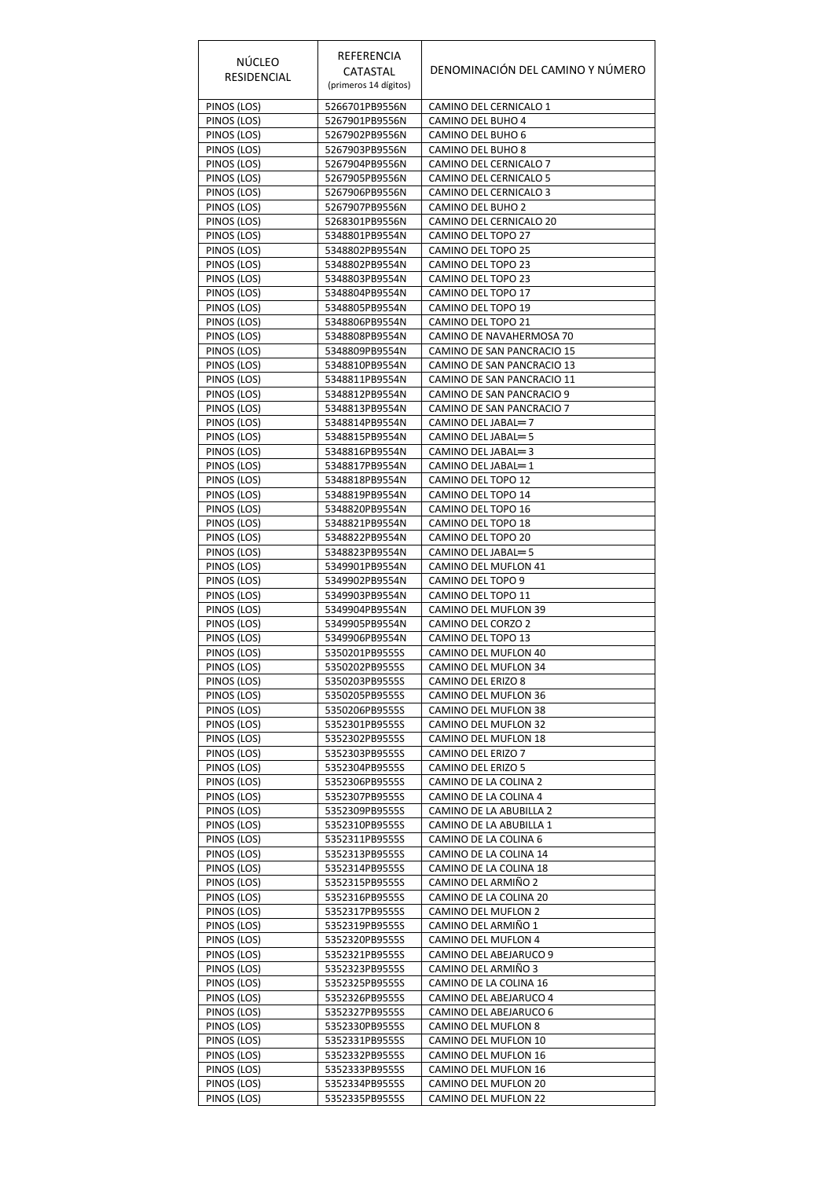| NÚCLEO<br>RESIDENCIAL      | REFERENCIA<br>CATASTAL<br>(primeros 14 dígitos) | DENOMINACIÓN DEL CAMINO Y NÚMERO                         |
|----------------------------|-------------------------------------------------|----------------------------------------------------------|
| PINOS (LOS)                | 5266701PB9556N                                  | CAMINO DEL CERNICALO 1                                   |
| PINOS (LOS)                | 5267901PB9556N                                  | CAMINO DEL BUHO 4                                        |
| PINOS (LOS)<br>PINOS (LOS) | 5267902PB9556N<br>5267903PB9556N                | CAMINO DEL BUHO 6<br>CAMINO DEL BUHO 8                   |
| PINOS (LOS)                | 5267904PB9556N                                  | CAMINO DEL CERNICALO 7                                   |
| PINOS (LOS)                | 5267905PB9556N                                  | CAMINO DEL CERNICALO 5                                   |
| PINOS (LOS)                | 5267906PB9556N                                  | CAMINO DEL CERNICALO 3                                   |
| PINOS (LOS)<br>PINOS (LOS) | 5267907PB9556N<br>5268301PB9556N                | CAMINO DEL BUHO 2<br>CAMINO DEL CERNICALO 20             |
| PINOS (LOS)                | 5348801PB9554N                                  | CAMINO DEL TOPO 27                                       |
| PINOS (LOS)                | 5348802PB9554N                                  | CAMINO DEL TOPO 25                                       |
| PINOS (LOS)                | 5348802PB9554N                                  | CAMINO DEL TOPO 23                                       |
| PINOS (LOS)                | 5348803PB9554N<br>5348804PB9554N                | CAMINO DEL TOPO 23                                       |
| PINOS (LOS)<br>PINOS (LOS) | 5348805PB9554N                                  | CAMINO DEL TOPO 17<br>CAMINO DEL TOPO 19                 |
| PINOS (LOS)                | 5348806PB9554N                                  | CAMINO DEL TOPO 21                                       |
| PINOS (LOS)                | 5348808PB9554N                                  | CAMINO DE NAVAHERMOSA 70                                 |
| PINOS (LOS)                | 5348809PB9554N                                  | CAMINO DE SAN PANCRACIO 15                               |
| PINOS (LOS)<br>PINOS (LOS) | 5348810PB9554N<br>5348811PB9554N                | CAMINO DE SAN PANCRACIO 13<br>CAMINO DE SAN PANCRACIO 11 |
| PINOS (LOS)                | 5348812PB9554N                                  | CAMINO DE SAN PANCRACIO 9                                |
| PINOS (LOS)                | 5348813PB9554N                                  | CAMINO DE SAN PANCRACIO 7                                |
| PINOS (LOS)                | 5348814PB9554N                                  | CAMINO DEL JABAL=7                                       |
| PINOS (LOS)                | 5348815PB9554N                                  | CAMINO DEL JABAL=5                                       |
| PINOS (LOS)                | 5348816PB9554N                                  | CAMINO DEL JABAL=3                                       |
| PINOS (LOS)<br>PINOS (LOS) | 5348817PB9554N<br>5348818PB9554N                | CAMINO DEL JABAL=1<br>CAMINO DEL TOPO 12                 |
| PINOS (LOS)                | 5348819PB9554N                                  | CAMINO DEL TOPO 14                                       |
| PINOS (LOS)                | 5348820PB9554N                                  | CAMINO DEL TOPO 16                                       |
| PINOS (LOS)                | 5348821PB9554N                                  | CAMINO DEL TOPO 18                                       |
| PINOS (LOS)                | 5348822PB9554N                                  | CAMINO DEL TOPO 20                                       |
| PINOS (LOS)<br>PINOS (LOS) | 5348823PB9554N<br>5349901PB9554N                | CAMINO DEL JABAL=5<br>CAMINO DEL MUFLON 41               |
| PINOS (LOS)                | 5349902PB9554N                                  | CAMINO DEL TOPO 9                                        |
| PINOS (LOS)                | 5349903PB9554N                                  | CAMINO DEL TOPO 11                                       |
| PINOS (LOS)                | 5349904PB9554N                                  | CAMINO DEL MUFLON 39                                     |
| PINOS (LOS)<br>PINOS (LOS) | 5349905PB9554N<br>5349906PB9554N                | CAMINO DEL CORZO 2<br>CAMINO DEL TOPO 13                 |
| PINOS (LOS)                | 5350201PB9555S                                  | CAMINO DEL MUFLON 40                                     |
| PINOS (LOS)                | 5350202PB9555S                                  | CAMINO DEL MUFLON 34                                     |
| PINOS (LOS)                | 5350203PB9555S                                  | CAMINO DEL ERIZO 8                                       |
| PINOS (LOS)                | 5350205PB9555S                                  | CAMINO DEL MUFLON 36                                     |
| PINOS (LOS)<br>PINOS (LOS) | 5350206PB9555S<br>5352301PB9555S                | CAMINO DEL MUFLON 38<br>CAMINO DEL MUFLON 32             |
| PINOS (LOS)                | 5352302PB9555S                                  | CAMINO DEL MUFLON 18                                     |
| PINOS (LOS)                | 5352303PB9555S                                  | CAMINO DEL ERIZO 7                                       |
| PINOS (LOS)                | 5352304PB9555S                                  | CAMINO DEL ERIZO 5                                       |
| PINOS (LOS)                | 5352306PB9555S                                  | CAMINO DE LA COLINA 2                                    |
| PINOS (LOS)<br>PINOS (LOS) | 5352307PB9555S<br>5352309PB9555S                | CAMINO DE LA COLINA 4<br>CAMINO DE LA ABUBILLA 2         |
| PINOS (LOS)                | 5352310PB9555S                                  | CAMINO DE LA ABUBILLA 1                                  |
| PINOS (LOS)                | 5352311PB9555S                                  | CAMINO DE LA COLINA 6                                    |
| PINOS (LOS)                | 5352313PB9555S                                  | CAMINO DE LA COLINA 14                                   |
| PINOS (LOS)                | 5352314PB9555S                                  | CAMINO DE LA COLINA 18                                   |
| PINOS (LOS)<br>PINOS (LOS) | 5352315PB9555S<br>5352316PB9555S                | CAMINO DEL ARMIÑO 2<br>CAMINO DE LA COLINA 20            |
| PINOS (LOS)                | 5352317PB9555S                                  | CAMINO DEL MUFLON 2                                      |
| PINOS (LOS)                | 5352319PB9555S                                  | CAMINO DEL ARMIÑO 1                                      |
| PINOS (LOS)                | 5352320PB9555S                                  | CAMINO DEL MUFLON 4                                      |
| PINOS (LOS)                | 5352321PB9555S                                  | CAMINO DEL ABEJARUCO 9                                   |
| PINOS (LOS)<br>PINOS (LOS) | 5352323PB9555S<br>5352325PB9555S                | CAMINO DEL ARMIÑO 3<br>CAMINO DE LA COLINA 16            |
| PINOS (LOS)                | 5352326PB9555S                                  | CAMINO DEL ABEJARUCO 4                                   |
| PINOS (LOS)                | 5352327PB9555S                                  | CAMINO DEL ABEJARUCO 6                                   |
| PINOS (LOS)                | 5352330PB9555S                                  | CAMINO DEL MUFLON 8                                      |
| PINOS (LOS)                | 5352331PB9555S                                  | CAMINO DEL MUFLON 10                                     |
| PINOS (LOS)<br>PINOS (LOS) | 5352332PB9555S<br>5352333PB9555S                | CAMINO DEL MUFLON 16<br>CAMINO DEL MUFLON 16             |
| PINOS (LOS)                | 5352334PB9555S                                  | CAMINO DEL MUFLON 20                                     |
| PINOS (LOS)                | 5352335PB9555S                                  | CAMINO DEL MUFLON 22                                     |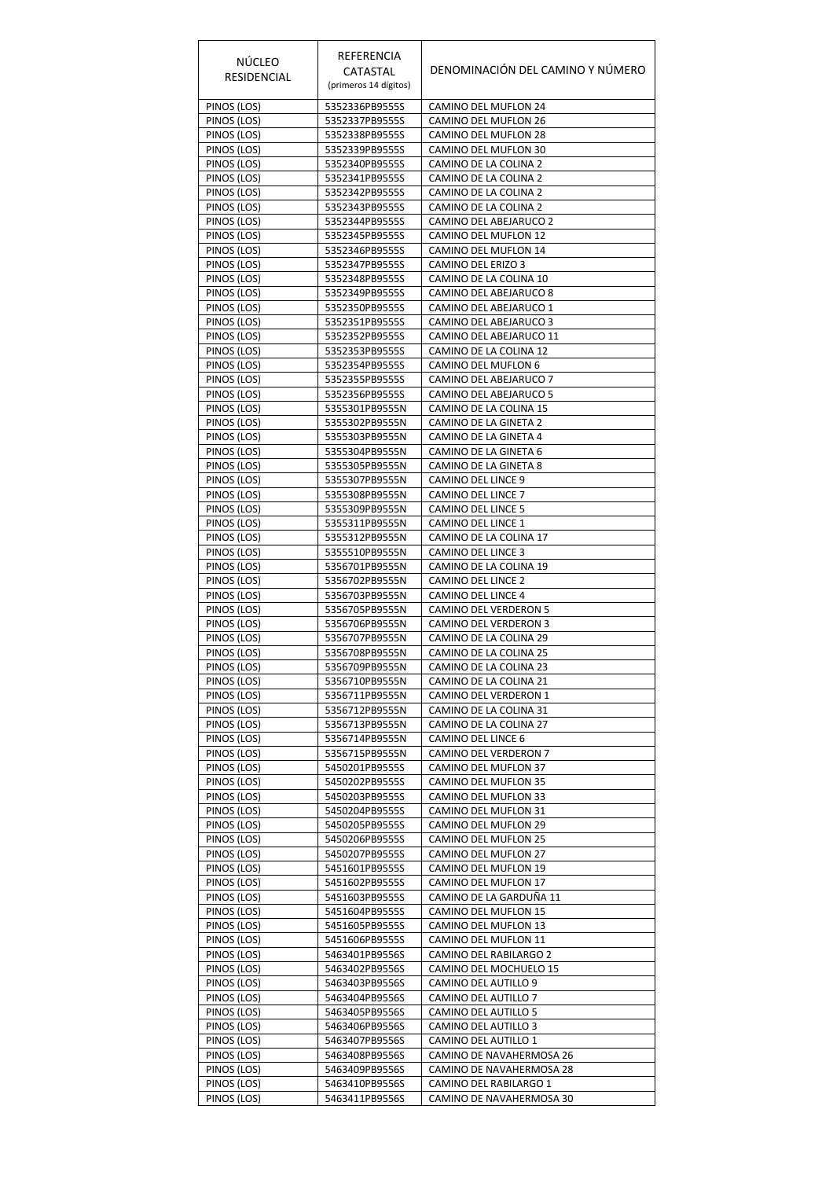|                            | REFERENCIA                       |                                                  |
|----------------------------|----------------------------------|--------------------------------------------------|
| NÚCLEO                     | CATASTAL                         | DENOMINACIÓN DEL CAMINO Y NÚMERO                 |
| RESIDENCIAL                | (primeros 14 dígitos)            |                                                  |
| PINOS (LOS)                | 5352336PB9555S                   | CAMINO DEL MUFLON 24                             |
| PINOS (LOS)                | 5352337PB9555S                   | CAMINO DEL MUFLON 26                             |
| PINOS (LOS)                | 5352338PB9555S                   | CAMINO DEL MUFLON 28                             |
| PINOS (LOS)                | 5352339PB9555S                   | CAMINO DEL MUFLON 30                             |
| PINOS (LOS)<br>PINOS (LOS) | 5352340PB9555S<br>5352341PB9555S | CAMINO DE LA COLINA 2<br>CAMINO DE LA COLINA 2   |
| PINOS (LOS)                | 5352342PB9555S                   | CAMINO DE LA COLINA 2                            |
| PINOS (LOS)                | 5352343PB9555S                   | CAMINO DE LA COLINA 2                            |
| PINOS (LOS)                | 5352344PB9555S                   | CAMINO DEL ABEJARUCO 2                           |
| PINOS (LOS)                | 5352345PB9555S                   | CAMINO DEL MUFLON 12                             |
| PINOS (LOS)                | 5352346PB9555S                   | CAMINO DEL MUFLON 14                             |
| PINOS (LOS)                | 5352347PB9555S                   | CAMINO DEL ERIZO 3                               |
| PINOS (LOS)<br>PINOS (LOS) | 5352348PB9555S<br>5352349PB9555S | CAMINO DE LA COLINA 10<br>CAMINO DEL ABEJARUCO 8 |
| PINOS (LOS)                | 5352350PB9555S                   | CAMINO DEL ABEJARUCO 1                           |
| PINOS (LOS)                | 5352351PB9555S                   | CAMINO DEL ABEJARUCO 3                           |
| PINOS (LOS)                | 5352352PB9555S                   | CAMINO DEL ABEJARUCO 11                          |
| PINOS (LOS)                | 5352353PB9555S                   | CAMINO DE LA COLINA 12                           |
| PINOS (LOS)                | 5352354PB9555S                   | CAMINO DEL MUFLON 6                              |
| PINOS (LOS)                | 5352355PB9555S                   | CAMINO DEL ABEJARUCO 7                           |
| PINOS (LOS)                | 5352356PB9555S                   | CAMINO DEL ABEJARUCO 5                           |
| PINOS (LOS)<br>PINOS (LOS) | 5355301PB9555N<br>5355302PB9555N | CAMINO DE LA COLINA 15<br>CAMINO DE LA GINETA 2  |
| PINOS (LOS)                | 5355303PB9555N                   | CAMINO DE LA GINETA 4                            |
| PINOS (LOS)                | 5355304PB9555N                   | CAMINO DE LA GINETA 6                            |
| PINOS (LOS)                | 5355305PB9555N                   | CAMINO DE LA GINETA 8                            |
| PINOS (LOS)                | 5355307PB9555N                   | CAMINO DEL LINCE 9                               |
| PINOS (LOS)                | 5355308PB9555N                   | CAMINO DEL LINCE 7                               |
| PINOS (LOS)                | 5355309PB9555N                   | CAMINO DEL LINCE 5                               |
| PINOS (LOS)                | 5355311PB9555N                   | CAMINO DEL LINCE 1                               |
| PINOS (LOS)<br>PINOS (LOS) | 5355312PB9555N<br>5355510PB9555N | CAMINO DE LA COLINA 17<br>CAMINO DEL LINCE 3     |
| PINOS (LOS)                | 5356701PB9555N                   | CAMINO DE LA COLINA 19                           |
| PINOS (LOS)                | 5356702PB9555N                   | CAMINO DEL LINCE 2                               |
| PINOS (LOS)                | 5356703PB9555N                   | CAMINO DEL LINCE 4                               |
| PINOS (LOS)                | 5356705PB9555N                   | CAMINO DEL VERDERON 5                            |
| PINOS (LOS)                | 5356706PB9555N                   | CAMINO DEL VERDERON 3                            |
| PINOS (LOS)                | 5356707PB9555N                   | CAMINO DE LA COLINA 29                           |
| PINOS (LOS)<br>PINOS (LOS) | 5356708PB9555N<br>5356709PB9555N | CAMINO DE LA COLINA 25<br>CAMINO DE LA COLINA 23 |
| PINOS (LOS)                | 5356710PB9555N                   | CAMINO DE LA COLINA 21                           |
| PINOS (LOS)                | 5356711PB9555N                   | CAMINO DEL VERDERON 1                            |
| PINOS (LOS)                | 5356712PB9555N                   | CAMINO DE LA COLINA 31                           |
| PINOS (LOS)                | 5356713PB9555N                   | CAMINO DE LA COLINA 27                           |
| PINOS (LOS)                | 5356714PB9555N                   | CAMINO DEL LINCE 6                               |
| PINOS (LOS)                | 5356715PB9555N                   | CAMINO DEL VERDERON 7                            |
| PINOS (LOS)<br>PINOS (LOS) | 5450201PB9555S<br>5450202PB9555S | CAMINO DEL MUFLON 37<br>CAMINO DEL MUFLON 35     |
| PINOS (LOS)                | 5450203PB9555S                   | CAMINO DEL MUFLON 33                             |
| PINOS (LOS)                | 5450204PB9555S                   | CAMINO DEL MUFLON 31                             |
| PINOS (LOS)                | 5450205PB9555S                   | CAMINO DEL MUFLON 29                             |
| PINOS (LOS)                | 5450206PB9555S                   | CAMINO DEL MUFLON 25                             |
| PINOS (LOS)                | 5450207PB9555S                   | CAMINO DEL MUFLON 27                             |
| PINOS (LOS)                | 5451601PB9555S                   | CAMINO DEL MUFLON 19                             |
| PINOS (LOS)                | 5451602PB9555S                   | CAMINO DEL MUFLON 17<br>CAMINO DE LA GARDUÑA 11  |
| PINOS (LOS)<br>PINOS (LOS) | 5451603PB9555S<br>5451604PB9555S | CAMINO DEL MUFLON 15                             |
| PINOS (LOS)                | 5451605PB9555S                   | CAMINO DEL MUFLON 13                             |
| PINOS (LOS)                | 5451606PB9555S                   | CAMINO DEL MUFLON 11                             |
| PINOS (LOS)                | 5463401PB9556S                   | CAMINO DEL RABILARGO 2                           |
| PINOS (LOS)                | 5463402PB9556S                   | CAMINO DEL MOCHUELO 15                           |
| PINOS (LOS)                | 5463403PB9556S                   | CAMINO DEL AUTILLO 9                             |
| PINOS (LOS)                | 5463404PB9556S                   | CAMINO DEL AUTILLO 7                             |
| PINOS (LOS)                | 5463405PB9556S                   | CAMINO DEL AUTILLO 5<br>CAMINO DEL AUTILLO 3     |
| PINOS (LOS)<br>PINOS (LOS) | 5463406PB9556S<br>5463407PB9556S | CAMINO DEL AUTILLO 1                             |
| PINOS (LOS)                | 5463408PB9556S                   | CAMINO DE NAVAHERMOSA 26                         |
| PINOS (LOS)                | 5463409PB9556S                   | CAMINO DE NAVAHERMOSA 28                         |
| PINOS (LOS)                | 5463410PB9556S                   | CAMINO DEL RABILARGO 1                           |
| PINOS (LOS)                | 5463411PB9556S                   | CAMINO DE NAVAHERMOSA 30                         |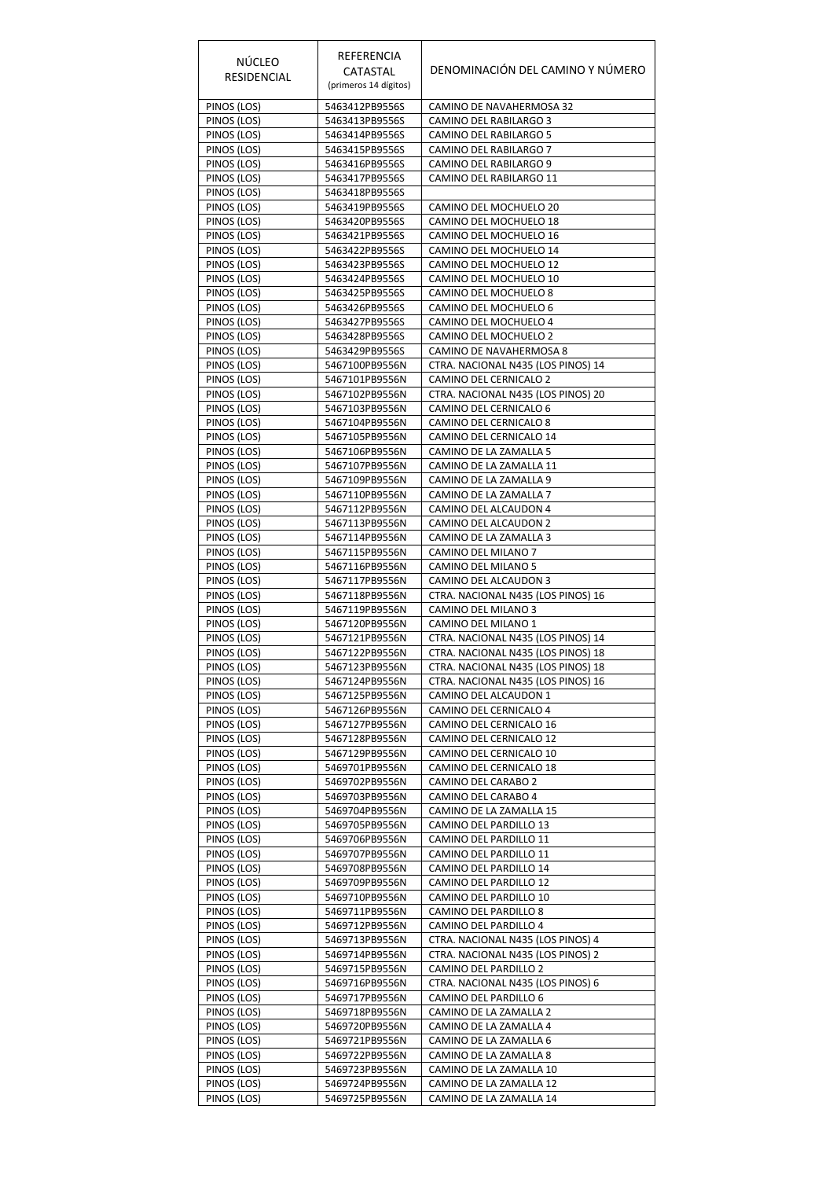| NÚCLEO<br>RESIDENCIAL      | REFERENCIA<br>CATASTAL<br>(primeros 14 dígitos) | DENOMINACIÓN DEL CAMINO Y NÚMERO                             |
|----------------------------|-------------------------------------------------|--------------------------------------------------------------|
| PINOS (LOS)                | 5463412PB9556S                                  | CAMINO DE NAVAHERMOSA 32                                     |
| PINOS (LOS)                | 5463413PB9556S                                  | CAMINO DEL RABILARGO 3                                       |
| PINOS (LOS)<br>PINOS (LOS) | 5463414PB9556S<br>5463415PB9556S                | CAMINO DEL RABILARGO 5<br>CAMINO DEL RABILARGO 7             |
| PINOS (LOS)                | 5463416PB9556S                                  | CAMINO DEL RABILARGO 9                                       |
| PINOS (LOS)                | 5463417PB9556S                                  | CAMINO DEL RABILARGO 11                                      |
| PINOS (LOS)                | 5463418PB9556S                                  |                                                              |
| PINOS (LOS)                | 5463419PB9556S                                  | CAMINO DEL MOCHUELO 20                                       |
| PINOS (LOS)                | 5463420PB9556S                                  | CAMINO DEL MOCHUELO 18                                       |
| PINOS (LOS)<br>PINOS (LOS) | 5463421PB9556S                                  | CAMINO DEL MOCHUELO 16<br>CAMINO DEL MOCHUELO 14             |
| PINOS (LOS)                | 5463422PB9556S<br>5463423PB9556S                | CAMINO DEL MOCHUELO 12                                       |
| PINOS (LOS)                | 5463424PB9556S                                  | CAMINO DEL MOCHUELO 10                                       |
| PINOS (LOS)                | 5463425PB9556S                                  | CAMINO DEL MOCHUELO 8                                        |
| PINOS (LOS)                | 5463426PB9556S                                  | CAMINO DEL MOCHUELO 6                                        |
| PINOS (LOS)                | 5463427PB9556S                                  | CAMINO DEL MOCHUELO 4                                        |
| PINOS (LOS)                | 5463428PB9556S                                  | CAMINO DEL MOCHUELO 2                                        |
| PINOS (LOS)                | 5463429PB9556S                                  | CAMINO DE NAVAHERMOSA 8                                      |
| PINOS (LOS)<br>PINOS (LOS) | 5467100PB9556N<br>5467101PB9556N                | CTRA. NACIONAL N435 (LOS PINOS) 14<br>CAMINO DEL CERNICALO 2 |
| PINOS (LOS)                | 5467102PB9556N                                  | CTRA. NACIONAL N435 (LOS PINOS) 20                           |
| PINOS (LOS)                | 5467103PB9556N                                  | CAMINO DEL CERNICALO 6                                       |
| PINOS (LOS)                | 5467104PB9556N                                  | CAMINO DEL CERNICALO 8                                       |
| PINOS (LOS)                | 5467105PB9556N                                  | CAMINO DEL CERNICALO 14                                      |
| PINOS (LOS)                | 5467106PB9556N                                  | CAMINO DE LA ZAMALLA 5                                       |
| PINOS (LOS)                | 5467107PB9556N                                  | CAMINO DE LA ZAMALLA 11                                      |
| PINOS (LOS)                | 5467109PB9556N                                  | CAMINO DE LA ZAMALLA 9                                       |
| PINOS (LOS)<br>PINOS (LOS) | 5467110PB9556N<br>5467112PB9556N                | CAMINO DE LA ZAMALLA 7<br>CAMINO DEL ALCAUDON 4              |
| PINOS (LOS)                | 5467113PB9556N                                  | CAMINO DEL ALCAUDON 2                                        |
| PINOS (LOS)                | 5467114PB9556N                                  | CAMINO DE LA ZAMALLA 3                                       |
| PINOS (LOS)                | 5467115PB9556N                                  | CAMINO DEL MILANO 7                                          |
| PINOS (LOS)                | 5467116PB9556N                                  | CAMINO DEL MILANO 5                                          |
| PINOS (LOS)                | 5467117PB9556N                                  | CAMINO DEL ALCAUDON 3                                        |
| PINOS (LOS)                | 5467118PB9556N                                  | CTRA. NACIONAL N435 (LOS PINOS) 16                           |
| PINOS (LOS)                | 5467119PB9556N                                  | CAMINO DEL MILANO 3                                          |
| PINOS (LOS)<br>PINOS (LOS) | 5467120PB9556N<br>5467121PB9556N                | CAMINO DEL MILANO 1<br>CTRA. NACIONAL N435 (LOS PINOS) 14    |
| PINOS (LOS)                | 5467122PB9556N                                  | CTRA. NACIONAL N435 (LOS PINOS) 18                           |
| PINOS (LOS)                | 5467123PB9556N                                  | CTRA. NACIONAL N435 (LOS PINOS) 18                           |
| PINOS (LOS)                | 5467124PB9556N                                  | CTRA. NACIONAL N435 (LOS PINOS) 16                           |
| PINOS (LOS)                | 5467125PB9556N                                  | CAMINO DEL ALCAUDON 1                                        |
| PINOS (LOS)                | 5467126PB9556N                                  | CAMINO DEL CERNICALO 4                                       |
| PINOS (LOS)                | 5467127PB9556N                                  | CAMINO DEL CERNICALO 16                                      |
| PINOS (LOS)<br>PINOS (LOS) | 5467128PB9556N<br>5467129PB9556N                | CAMINO DEL CERNICALO 12<br>CAMINO DEL CERNICALO 10           |
| PINOS (LOS)                | 5469701PB9556N                                  | CAMINO DEL CERNICALO 18                                      |
| PINOS (LOS)                | 5469702PB9556N                                  | CAMINO DEL CARABO 2                                          |
| PINOS (LOS)                | 5469703PB9556N                                  | CAMINO DEL CARABO 4                                          |
| PINOS (LOS)                | 5469704PB9556N                                  | CAMINO DE LA ZAMALLA 15                                      |
| PINOS (LOS)                | 5469705PB9556N                                  | CAMINO DEL PARDILLO 13                                       |
| PINOS (LOS)                | 5469706PB9556N                                  | CAMINO DEL PARDILLO 11                                       |
| PINOS (LOS)<br>PINOS (LOS) | 5469707PB9556N<br>5469708PB9556N                | CAMINO DEL PARDILLO 11<br>CAMINO DEL PARDILLO 14             |
| PINOS (LOS)                | 5469709PB9556N                                  | CAMINO DEL PARDILLO 12                                       |
| PINOS (LOS)                | 5469710PB9556N                                  | CAMINO DEL PARDILLO 10                                       |
| PINOS (LOS)                | 5469711PB9556N                                  | CAMINO DEL PARDILLO 8                                        |
| PINOS (LOS)                | 5469712PB9556N                                  | CAMINO DEL PARDILLO 4                                        |
| PINOS (LOS)                | 5469713PB9556N                                  | CTRA. NACIONAL N435 (LOS PINOS) 4                            |
| PINOS (LOS)                | 5469714PB9556N                                  | CTRA. NACIONAL N435 (LOS PINOS) 2                            |
| PINOS (LOS)                | 5469715PB9556N                                  | CAMINO DEL PARDILLO 2                                        |
| PINOS (LOS)<br>PINOS (LOS) | 5469716PB9556N<br>5469717PB9556N                | CTRA. NACIONAL N435 (LOS PINOS) 6<br>CAMINO DEL PARDILLO 6   |
| PINOS (LOS)                | 5469718PB9556N                                  | CAMINO DE LA ZAMALLA 2                                       |
| PINOS (LOS)                | 5469720PB9556N                                  | CAMINO DE LA ZAMALLA 4                                       |
| PINOS (LOS)                | 5469721PB9556N                                  | CAMINO DE LA ZAMALLA 6                                       |
| PINOS (LOS)                | 5469722PB9556N                                  | CAMINO DE LA ZAMALLA 8                                       |
| PINOS (LOS)                | 5469723PB9556N                                  | CAMINO DE LA ZAMALLA 10                                      |
| PINOS (LOS)<br>PINOS (LOS) | 5469724PB9556N                                  | CAMINO DE LA ZAMALLA 12                                      |
|                            | 5469725PB9556N                                  | CAMINO DE LA ZAMALLA 14                                      |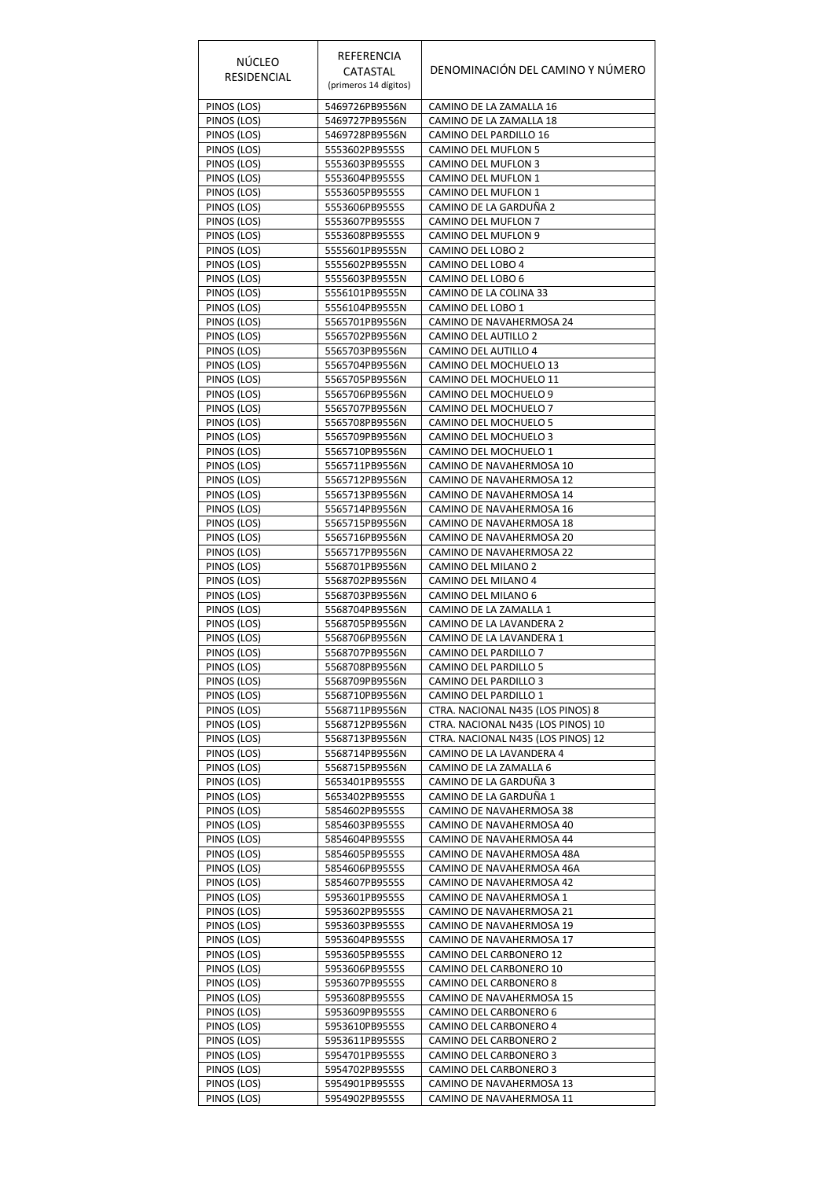| NÚCLEO<br>RESIDENCIAL      | REFERENCIA<br>CATASTAL<br>(primeros 14 dígitos) | DENOMINACIÓN DEL CAMINO Y NÚMERO                       |
|----------------------------|-------------------------------------------------|--------------------------------------------------------|
| PINOS (LOS)                | 5469726PB9556N                                  | CAMINO DE LA ZAMALLA 16                                |
| PINOS (LOS)                | 5469727PB9556N                                  | CAMINO DE LA ZAMALLA 18                                |
| PINOS (LOS)                | 5469728PB9556N                                  | CAMINO DEL PARDILLO 16                                 |
| PINOS (LOS)<br>PINOS (LOS) | 5553602PB9555S<br>5553603PB9555S                | CAMINO DEL MUFLON 5<br>CAMINO DEL MUFLON 3             |
| PINOS (LOS)                | 5553604PB9555S                                  | CAMINO DEL MUFLON 1                                    |
| PINOS (LOS)                | 5553605PB9555S                                  | CAMINO DEL MUFLON 1                                    |
| PINOS (LOS)                | 5553606PB9555S                                  | CAMINO DE LA GARDUÑA 2                                 |
| PINOS (LOS)                | 5553607PB9555S                                  | CAMINO DEL MUFLON 7                                    |
| PINOS (LOS)<br>PINOS (LOS) | 5553608PB9555S<br>5555601PB9555N                | CAMINO DEL MUFLON 9<br>CAMINO DEL LOBO 2               |
| PINOS (LOS)                | 5555602PB9555N                                  | CAMINO DEL LOBO 4                                      |
| PINOS (LOS)                | 5555603PB9555N                                  | CAMINO DEL LOBO 6                                      |
| PINOS (LOS)                | 5556101PB9555N                                  | CAMINO DE LA COLINA 33                                 |
| PINOS (LOS)                | 5556104PB9555N                                  | CAMINO DEL LOBO 1                                      |
| PINOS (LOS)<br>PINOS (LOS) | 5565701PB9556N<br>5565702PB9556N                | CAMINO DE NAVAHERMOSA 24<br>CAMINO DEL AUTILLO 2       |
| PINOS (LOS)                | 5565703PB9556N                                  | CAMINO DEL AUTILLO 4                                   |
| PINOS (LOS)                | 5565704PB9556N                                  | CAMINO DEL MOCHUELO 13                                 |
| PINOS (LOS)                | 5565705PB9556N                                  | CAMINO DEL MOCHUELO 11                                 |
| PINOS (LOS)                | 5565706PB9556N                                  | CAMINO DEL MOCHUELO 9                                  |
| PINOS (LOS)<br>PINOS (LOS) | 5565707PB9556N<br>5565708PB9556N                | CAMINO DEL MOCHUELO 7<br>CAMINO DEL MOCHUELO 5         |
| PINOS (LOS)                | 5565709PB9556N                                  | CAMINO DEL MOCHUELO 3                                  |
| PINOS (LOS)                | 5565710PB9556N                                  | CAMINO DEL MOCHUELO 1                                  |
| PINOS (LOS)                | 5565711PB9556N                                  | CAMINO DE NAVAHERMOSA 10                               |
| PINOS (LOS)                | 5565712PB9556N                                  | CAMINO DE NAVAHERMOSA 12                               |
| PINOS (LOS)                | 5565713PB9556N                                  | CAMINO DE NAVAHERMOSA 14                               |
| PINOS (LOS)<br>PINOS (LOS) | 5565714PB9556N<br>5565715PB9556N                | CAMINO DE NAVAHERMOSA 16<br>CAMINO DE NAVAHERMOSA 18   |
| PINOS (LOS)                | 5565716PB9556N                                  | CAMINO DE NAVAHERMOSA 20                               |
| PINOS (LOS)                | 5565717PB9556N                                  | CAMINO DE NAVAHERMOSA 22                               |
| PINOS (LOS)                | 5568701PB9556N                                  | CAMINO DEL MILANO 2                                    |
| PINOS (LOS)                | 5568702PB9556N                                  | CAMINO DEL MILANO 4                                    |
| PINOS (LOS)<br>PINOS (LOS) | 5568703PB9556N<br>5568704PB9556N                | CAMINO DEL MILANO 6<br>CAMINO DE LA ZAMALLA 1          |
| PINOS (LOS)                | 5568705PB9556N                                  | CAMINO DE LA LAVANDERA 2                               |
| PINOS (LOS)                | 5568706PB9556N                                  | CAMINO DE LA LAVANDERA 1                               |
| PINOS (LOS)                | 5568707PB9556N                                  | CAMINO DEL PARDILLO 7                                  |
| PINOS (LOS)                | 5568708PB9556N                                  | CAMINO DEL PARDILLO 5                                  |
| PINOS (LOS)<br>PINOS (LOS) | 5568709PB9556N<br>5568710PB9556N                | CAMINO DEL PARDILLO 3<br>CAMINO DEL PARDILLO 1         |
| PINOS (LOS)                | 5568711PB9556N                                  | CTRA. NACIONAL N435 (LOS PINOS) 8                      |
| PINOS (LOS)                | 5568712PB9556N                                  | CTRA. NACIONAL N435 (LOS PINOS) 10                     |
| PINOS (LOS)                | 5568713PB9556N                                  | CTRA. NACIONAL N435 (LOS PINOS) 12                     |
| PINOS (LOS)                | 5568714PB9556N                                  | CAMINO DE LA LAVANDERA 4                               |
| PINOS (LOS)<br>PINOS (LOS) | 5568715PB9556N<br>5653401PB9555S                | CAMINO DE LA ZAMALLA 6<br>CAMINO DE LA GARDUÑA 3       |
| PINOS (LOS)                | 5653402PB9555S                                  | CAMINO DE LA GARDUÑA 1                                 |
| PINOS (LOS)                | 5854602PB9555S                                  | CAMINO DE NAVAHERMOSA 38                               |
| PINOS (LOS)                | 5854603PB9555S                                  | CAMINO DE NAVAHERMOSA 40                               |
| PINOS (LOS)                | 5854604PB9555S                                  | CAMINO DE NAVAHERMOSA 44                               |
| PINOS (LOS)<br>PINOS (LOS) | 5854605PB9555S<br>5854606PB9555S                | CAMINO DE NAVAHERMOSA 48A<br>CAMINO DE NAVAHERMOSA 46A |
| PINOS (LOS)                | 5854607PB9555S                                  | CAMINO DE NAVAHERMOSA 42                               |
| PINOS (LOS)                | 5953601PB9555S                                  | CAMINO DE NAVAHERMOSA 1                                |
| PINOS (LOS)                | 5953602PB9555S                                  | CAMINO DE NAVAHERMOSA 21                               |
| PINOS (LOS)                | 5953603PB9555S                                  | CAMINO DE NAVAHERMOSA 19                               |
| PINOS (LOS)<br>PINOS (LOS) | 5953604PB9555S<br>5953605PB9555S                | CAMINO DE NAVAHERMOSA 17<br>CAMINO DEL CARBONERO 12    |
| PINOS (LOS)                | 5953606PB9555S                                  | CAMINO DEL CARBONERO 10                                |
| PINOS (LOS)                | 5953607PB9555S                                  | CAMINO DEL CARBONERO 8                                 |
| PINOS (LOS)                | 5953608PB9555S                                  | CAMINO DE NAVAHERMOSA 15                               |
| PINOS (LOS)                | 5953609PB9555S                                  | CAMINO DEL CARBONERO 6                                 |
| PINOS (LOS)<br>PINOS (LOS) | 5953610PB9555S<br>5953611PB9555S                | CAMINO DEL CARBONERO 4<br>CAMINO DEL CARBONERO 2       |
| PINOS (LOS)                | 5954701PB9555S                                  | CAMINO DEL CARBONERO 3                                 |
| PINOS (LOS)                | 5954702PB9555S                                  | CAMINO DEL CARBONERO 3                                 |
| PINOS (LOS)                | 5954901PB9555S                                  | CAMINO DE NAVAHERMOSA 13                               |
| PINOS (LOS)                | 5954902PB9555S                                  | CAMINO DE NAVAHERMOSA 11                               |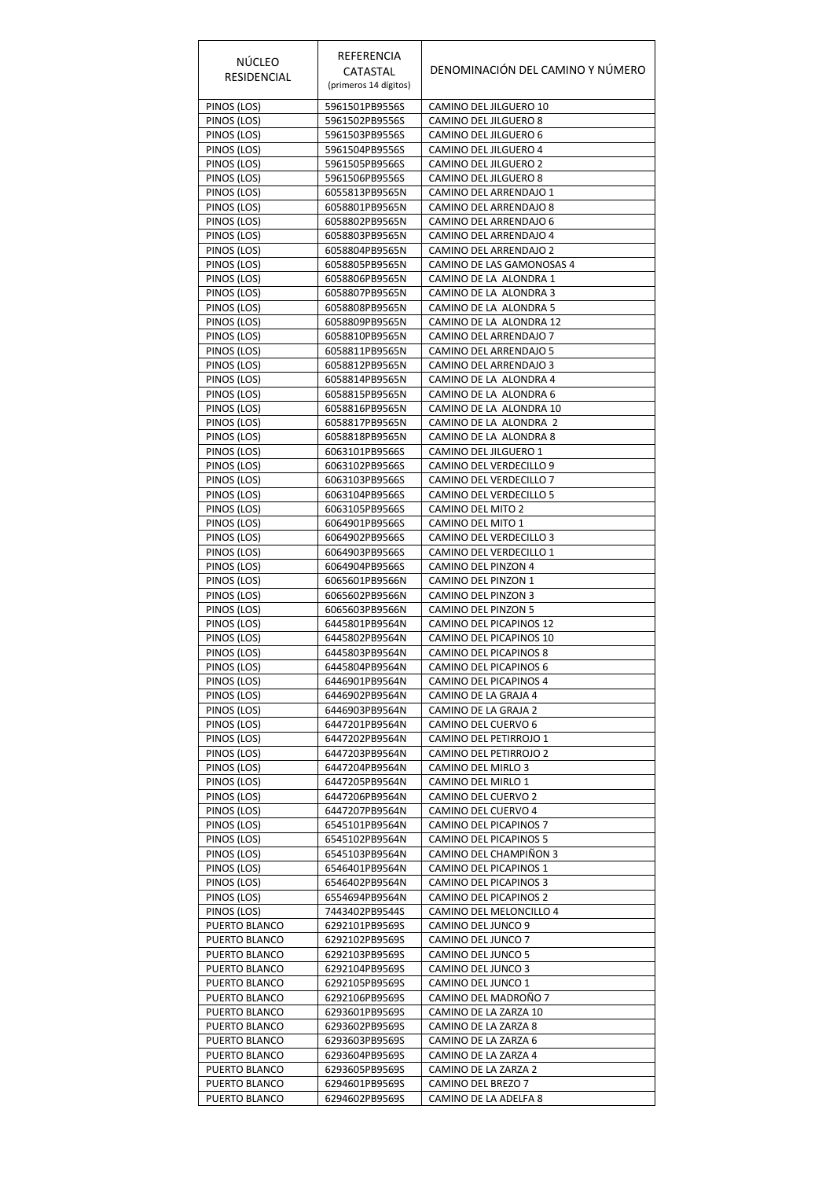| <b>NÚCLEO</b><br>RESIDENCIAL   | REFERENCIA<br>CATASTAL<br>(primeros 14 dígitos) | DENOMINACIÓN DEL CAMINO Y NÚMERO                  |
|--------------------------------|-------------------------------------------------|---------------------------------------------------|
| PINOS (LOS)                    | 5961501PB9556S                                  | CAMINO DEL JILGUERO 10                            |
| PINOS (LOS)                    | 5961502PB9556S                                  | CAMINO DEL JILGUERO 8                             |
| PINOS (LOS)                    | 5961503PB9556S                                  | CAMINO DEL JILGUERO 6                             |
| PINOS (LOS)<br>PINOS (LOS)     | 5961504PB9556S<br>5961505PB9566S                | CAMINO DEL JILGUERO 4<br>CAMINO DEL JILGUERO 2    |
| PINOS (LOS)                    | 5961506PB9556S                                  | CAMINO DEL JILGUERO 8                             |
| PINOS (LOS)                    | 6055813PB9565N                                  | CAMINO DEL ARRENDAJO 1                            |
| PINOS (LOS)                    | 6058801PB9565N                                  | CAMINO DEL ARRENDAJO 8                            |
| PINOS (LOS)<br>PINOS (LOS)     | 6058802PB9565N<br>6058803PB9565N                | CAMINO DEL ARRENDAJO 6<br>CAMINO DEL ARRENDAJO 4  |
| PINOS (LOS)                    | 6058804PB9565N                                  | CAMINO DEL ARRENDAJO 2                            |
| PINOS (LOS)                    | 6058805PB9565N                                  | CAMINO DE LAS GAMONOSAS 4                         |
| PINOS (LOS)                    | 6058806PB9565N                                  | CAMINO DE LA ALONDRA 1                            |
| PINOS (LOS)                    | 6058807PB9565N                                  | CAMINO DE LA ALONDRA 3                            |
| PINOS (LOS)<br>PINOS (LOS)     | 6058808PB9565N<br>6058809PB9565N                | CAMINO DE LA ALONDRA 5<br>CAMINO DE LA ALONDRA 12 |
| PINOS (LOS)                    | 6058810PB9565N                                  | CAMINO DEL ARRENDAJO 7                            |
| PINOS (LOS)                    | 6058811PB9565N                                  | CAMINO DEL ARRENDAJO 5                            |
| PINOS (LOS)                    | 6058812PB9565N                                  | CAMINO DEL ARRENDAJO 3                            |
| PINOS (LOS)                    | 6058814PB9565N                                  | CAMINO DE LA ALONDRA 4                            |
| PINOS (LOS)<br>PINOS (LOS)     | 6058815PB9565N<br>6058816PB9565N                | CAMINO DE LA ALONDRA 6<br>CAMINO DE LA ALONDRA 10 |
| PINOS (LOS)                    | 6058817PB9565N                                  | CAMINO DE LA ALONDRA 2                            |
| PINOS (LOS)                    | 6058818PB9565N                                  | CAMINO DE LA ALONDRA 8                            |
| PINOS (LOS)                    | 6063101PB9566S                                  | CAMINO DEL JILGUERO 1                             |
| PINOS (LOS)                    | 6063102PB9566S                                  | CAMINO DEL VERDECILLO 9                           |
| PINOS (LOS)                    | 6063103PB9566S                                  | CAMINO DEL VERDECILLO 7                           |
| PINOS (LOS)<br>PINOS (LOS)     | 6063104PB9566S<br>6063105PB9566S                | CAMINO DEL VERDECILLO 5<br>CAMINO DEL MITO 2      |
| PINOS (LOS)                    | 6064901PB9566S                                  | CAMINO DEL MITO 1                                 |
| PINOS (LOS)                    | 6064902PB9566S                                  | CAMINO DEL VERDECILLO 3                           |
| PINOS (LOS)                    | 6064903PB9566S                                  | CAMINO DEL VERDECILLO 1                           |
| PINOS (LOS)                    | 6064904PB9566S                                  | CAMINO DEL PINZON 4                               |
| PINOS (LOS)                    | 6065601PB9566N                                  | CAMINO DEL PINZON 1                               |
| PINOS (LOS)<br>PINOS (LOS)     | 6065602PB9566N<br>6065603PB9566N                | CAMINO DEL PINZON 3<br>CAMINO DEL PINZON 5        |
| PINOS (LOS)                    | 6445801PB9564N                                  | CAMINO DEL PICAPINOS 12                           |
| PINOS (LOS)                    | 6445802PB9564N                                  | CAMINO DEL PICAPINOS 10                           |
| PINOS (LOS)                    | 6445803PB9564N                                  | CAMINO DEL PICAPINOS 8                            |
| PINOS (LOS)                    | 6445804PB9564N                                  | CAMINO DEL PICAPINOS 6                            |
| PINOS (LOS)<br>PINOS (LOS)     | 6446901PB9564N<br>6446902PB9564N                | CAMINO DEL PICAPINOS 4<br>CAMINO DE LA GRAJA 4    |
| PINOS (LOS)                    | 6446903PB9564N                                  | CAMINO DE LA GRAJA 2                              |
| PINOS (LOS)                    | 6447201PB9564N                                  | CAMINO DEL CUERVO 6                               |
| PINOS (LOS)                    | 6447202PB9564N                                  | CAMINO DEL PETIRROJO 1                            |
| PINOS (LOS)                    | 6447203PB9564N                                  | CAMINO DEL PETIRROJO 2                            |
| PINOS (LOS)<br>PINOS (LOS)     | 6447204PB9564N<br>6447205PB9564N                | CAMINO DEL MIRLO 3<br>CAMINO DEL MIRLO 1          |
| PINOS (LOS)                    | 6447206PB9564N                                  | CAMINO DEL CUERVO 2                               |
| PINOS (LOS)                    | 6447207PB9564N                                  | CAMINO DEL CUERVO 4                               |
| PINOS (LOS)                    | 6545101PB9564N                                  | CAMINO DEL PICAPINOS 7                            |
| PINOS (LOS)                    | 6545102PB9564N                                  | CAMINO DEL PICAPINOS 5                            |
| PINOS (LOS)<br>PINOS (LOS)     | 6545103PB9564N<br>6546401PB9564N                | CAMINO DEL CHAMPIÑON 3<br>CAMINO DEL PICAPINOS 1  |
| PINOS (LOS)                    | 6546402PB9564N                                  | CAMINO DEL PICAPINOS 3                            |
| PINOS (LOS)                    | 6554694PB9564N                                  | CAMINO DEL PICAPINOS 2                            |
| PINOS (LOS)                    | 7443402PB9544S                                  | CAMINO DEL MELONCILLO 4                           |
| PUERTO BLANCO                  | 6292101PB9569S                                  | CAMINO DEL JUNCO 9                                |
| PUERTO BLANCO                  | 6292102PB9569S                                  | CAMINO DEL JUNCO 7                                |
| PUERTO BLANCO<br>PUERTO BLANCO | 6292103PB9569S<br>6292104PB9569S                | CAMINO DEL JUNCO 5<br>CAMINO DEL JUNCO 3          |
| PUERTO BLANCO                  | 6292105PB9569S                                  | CAMINO DEL JUNCO 1                                |
| PUERTO BLANCO                  | 6292106PB9569S                                  | CAMINO DEL MADROÑO 7                              |
| PUERTO BLANCO                  | 6293601PB9569S                                  | CAMINO DE LA ZARZA 10                             |
| PUERTO BLANCO                  | 6293602PB9569S                                  | CAMINO DE LA ZARZA 8                              |
| PUERTO BLANCO<br>PUERTO BLANCO | 6293603PB9569S<br>6293604PB9569S                | CAMINO DE LA ZARZA 6<br>CAMINO DE LA ZARZA 4      |
| PUERTO BLANCO                  | 6293605PB9569S                                  | CAMINO DE LA ZARZA 2                              |
| PUERTO BLANCO                  | 6294601PB9569S                                  | CAMINO DEL BREZO 7                                |
| PUERTO BLANCO                  | 6294602PB9569S                                  | CAMINO DE LA ADELFA 8                             |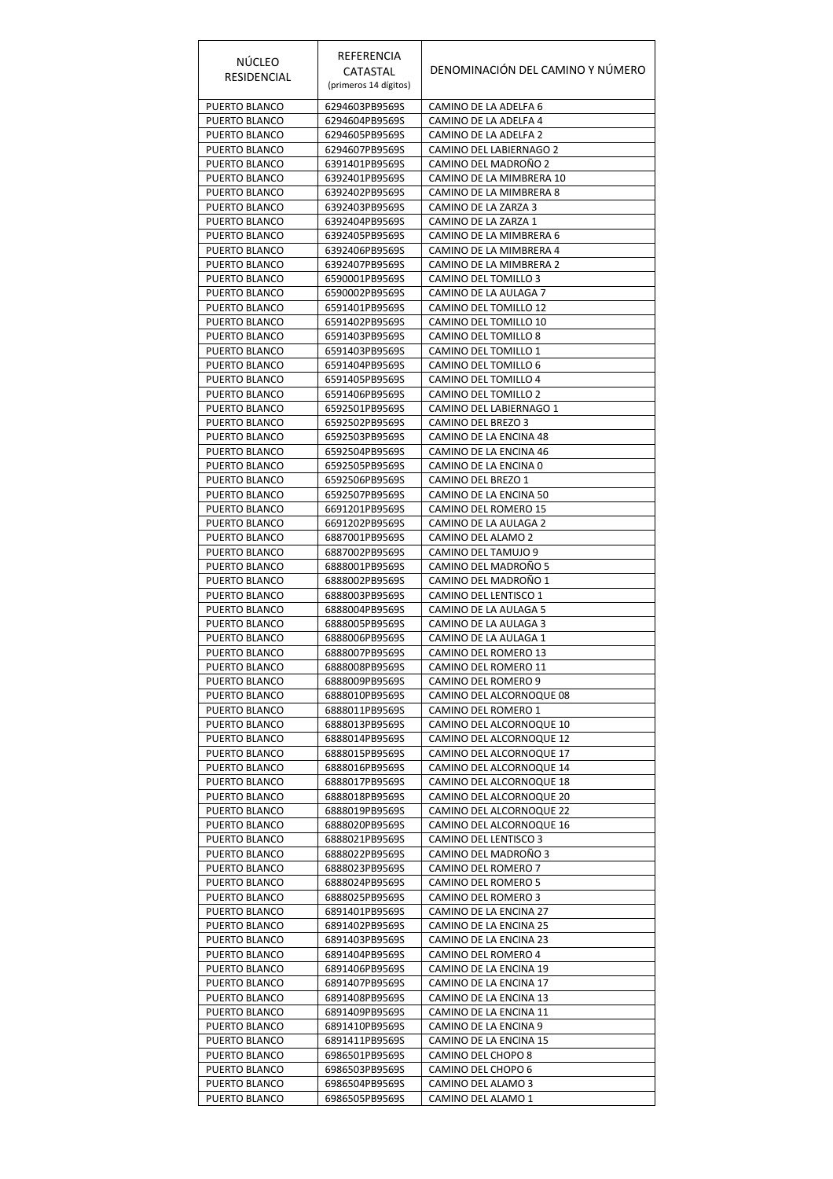| <b>NÚCLEO</b><br>RESIDENCIAL   | REFERENCIA<br>CATASTAL           | DENOMINACIÓN DEL CAMINO Y NÚMERO                     |
|--------------------------------|----------------------------------|------------------------------------------------------|
|                                | (primeros 14 dígitos)            |                                                      |
| PUERTO BLANCO<br>PUERTO BLANCO | 6294603PB9569S<br>6294604PB9569S | CAMINO DE LA ADELFA 6<br>CAMINO DE LA ADELFA 4       |
| PUERTO BLANCO                  | 6294605PB9569S                   | CAMINO DE LA ADELFA 2                                |
| PUERTO BLANCO                  | 6294607PB9569S                   | CAMINO DEL LABIERNAGO 2                              |
| PUERTO BLANCO<br>PUERTO BLANCO | 6391401PB9569S<br>6392401PB9569S | CAMINO DEL MADROÑO 2<br>CAMINO DE LA MIMBRERA 10     |
| PUERTO BLANCO                  | 6392402PB9569S                   | CAMINO DE LA MIMBRERA 8                              |
| PUERTO BLANCO                  | 6392403PB9569S                   | CAMINO DE LA ZARZA 3                                 |
| PUERTO BLANCO                  | 6392404PB9569S                   | CAMINO DE LA ZARZA 1                                 |
| PUERTO BLANCO<br>PUERTO BLANCO | 6392405PB9569S<br>6392406PB9569S | CAMINO DE LA MIMBRERA 6<br>CAMINO DE LA MIMBRERA 4   |
| PUERTO BLANCO                  | 6392407PB9569S                   | CAMINO DE LA MIMBRERA 2                              |
| PUERTO BLANCO                  | 6590001PB9569S                   | CAMINO DEL TOMILLO 3                                 |
| PUERTO BLANCO<br>PUERTO BLANCO | 6590002PB9569S<br>6591401PB9569S | CAMINO DE LA AULAGA 7<br>CAMINO DEL TOMILLO 12       |
| PUERTO BLANCO                  | 6591402PB9569S                   | CAMINO DEL TOMILLO 10                                |
| PUERTO BLANCO                  | 6591403PB9569S                   | CAMINO DEL TOMILLO 8                                 |
| PUERTO BLANCO<br>PUERTO BLANCO | 6591403PB9569S<br>6591404PB9569S | CAMINO DEL TOMILLO 1<br>CAMINO DEL TOMILLO 6         |
| PUERTO BLANCO                  | 6591405PB9569S                   | CAMINO DEL TOMILLO 4                                 |
| PUERTO BLANCO                  | 6591406PB9569S                   | CAMINO DEL TOMILLO 2                                 |
| PUERTO BLANCO<br>PUERTO BLANCO | 6592501PB9569S                   | CAMINO DEL LABIERNAGO 1<br>CAMINO DEL BREZO 3        |
| PUERTO BLANCO                  | 6592502PB9569S<br>6592503PB9569S | CAMINO DE LA ENCINA 48                               |
| PUERTO BLANCO                  | 6592504PB9569S                   | CAMINO DE LA ENCINA 46                               |
| PUERTO BLANCO                  | 6592505PB9569S                   | CAMINO DE LA ENCINA 0                                |
| PUERTO BLANCO<br>PUERTO BLANCO | 6592506PB9569S<br>6592507PB9569S | CAMINO DEL BREZO 1<br>CAMINO DE LA ENCINA 50         |
| PUERTO BLANCO                  | 6691201PB9569S                   | CAMINO DEL ROMERO 15                                 |
| PUERTO BLANCO                  | 6691202PB9569S                   | CAMINO DE LA AULAGA 2                                |
| PUERTO BLANCO<br>PUERTO BLANCO | 6887001PB9569S<br>6887002PB9569S | CAMINO DEL ALAMO 2<br>CAMINO DEL TAMUJO 9            |
| PUERTO BLANCO                  | 6888001PB9569S                   | CAMINO DEL MADROÑO 5                                 |
| PUERTO BLANCO                  | 6888002PB9569S                   | CAMINO DEL MADROÑO 1                                 |
| PUERTO BLANCO<br>PUERTO BLANCO | 6888003PB9569S<br>6888004PB9569S | CAMINO DEL LENTISCO 1<br>CAMINO DE LA AULAGA 5       |
| PUERTO BLANCO                  | 6888005PB9569S                   | CAMINO DE LA AULAGA 3                                |
| PUERTO BLANCO                  | 6888006PB9569S                   | CAMINO DE LA AULAGA 1                                |
| PUERTO BLANCO                  | 6888007PB9569S                   | CAMINO DEL ROMERO 13                                 |
| PUERTO BLANCO<br>PUERTO BLANCO | 6888008PB9569S<br>6888009PB9569S | CAMINO DEL ROMERO 11<br>CAMINO DEL ROMERO 9          |
| PUERTO BLANCO                  | 6888010PB9569S                   | CAMINO DEL ALCORNOQUE 08                             |
| PUERTO BLANCO                  | 6888011PB9569S                   | CAMINO DEL ROMERO 1                                  |
| PUERTO BLANCO<br>PUERTO BLANCO | 6888013PB9569S<br>6888014PB9569S | CAMINO DEL ALCORNOQUE 10<br>CAMINO DEL ALCORNOQUE 12 |
| PUERTO BLANCO                  | 6888015PB9569S                   | CAMINO DEL ALCORNOQUE 17                             |
| PUERTO BLANCO                  | 6888016PB9569S                   | CAMINO DEL ALCORNOQUE 14                             |
| PUERTO BLANCO<br>PUERTO BLANCO | 6888017PB9569S<br>6888018PB9569S | CAMINO DEL ALCORNOQUE 18<br>CAMINO DEL ALCORNOQUE 20 |
| PUERTO BLANCO                  | 6888019PB9569S                   | CAMINO DEL ALCORNOQUE 22                             |
| PUERTO BLANCO                  | 6888020PB9569S                   | CAMINO DEL ALCORNOQUE 16                             |
| PUERTO BLANCO<br>PUERTO BLANCO | 6888021PB9569S<br>6888022PB9569S | CAMINO DEL LENTISCO 3<br>CAMINO DEL MADROÑO 3        |
| PUERTO BLANCO                  | 6888023PB9569S                   | CAMINO DEL ROMERO 7                                  |
| PUERTO BLANCO                  | 6888024PB9569S                   | CAMINO DEL ROMERO 5                                  |
| PUERTO BLANCO                  | 6888025PB9569S                   | CAMINO DEL ROMERO 3                                  |
| PUERTO BLANCO<br>PUERTO BLANCO | 6891401PB9569S<br>6891402PB9569S | CAMINO DE LA ENCINA 27<br>CAMINO DE LA ENCINA 25     |
| PUERTO BLANCO                  | 6891403PB9569S                   | CAMINO DE LA ENCINA 23                               |
| PUERTO BLANCO                  | 6891404PB9569S                   | CAMINO DEL ROMERO 4                                  |
| PUERTO BLANCO<br>PUERTO BLANCO | 6891406PB9569S<br>6891407PB9569S | CAMINO DE LA ENCINA 19<br>CAMINO DE LA ENCINA 17     |
| PUERTO BLANCO                  | 6891408PB9569S                   | CAMINO DE LA ENCINA 13                               |
| PUERTO BLANCO                  | 6891409PB9569S                   | CAMINO DE LA ENCINA 11                               |
| PUERTO BLANCO<br>PUERTO BLANCO | 6891410PB9569S<br>6891411PB9569S | CAMINO DE LA ENCINA 9<br>CAMINO DE LA ENCINA 15      |
| PUERTO BLANCO                  | 6986501PB9569S                   | CAMINO DEL CHOPO 8                                   |
| PUERTO BLANCO                  | 6986503PB9569S                   | CAMINO DEL CHOPO 6                                   |
| PUERTO BLANCO                  | 6986504PB9569S                   | CAMINO DEL ALAMO 3                                   |
| PUERTO BLANCO                  | 6986505PB9569S                   | CAMINO DEL ALAMO 1                                   |